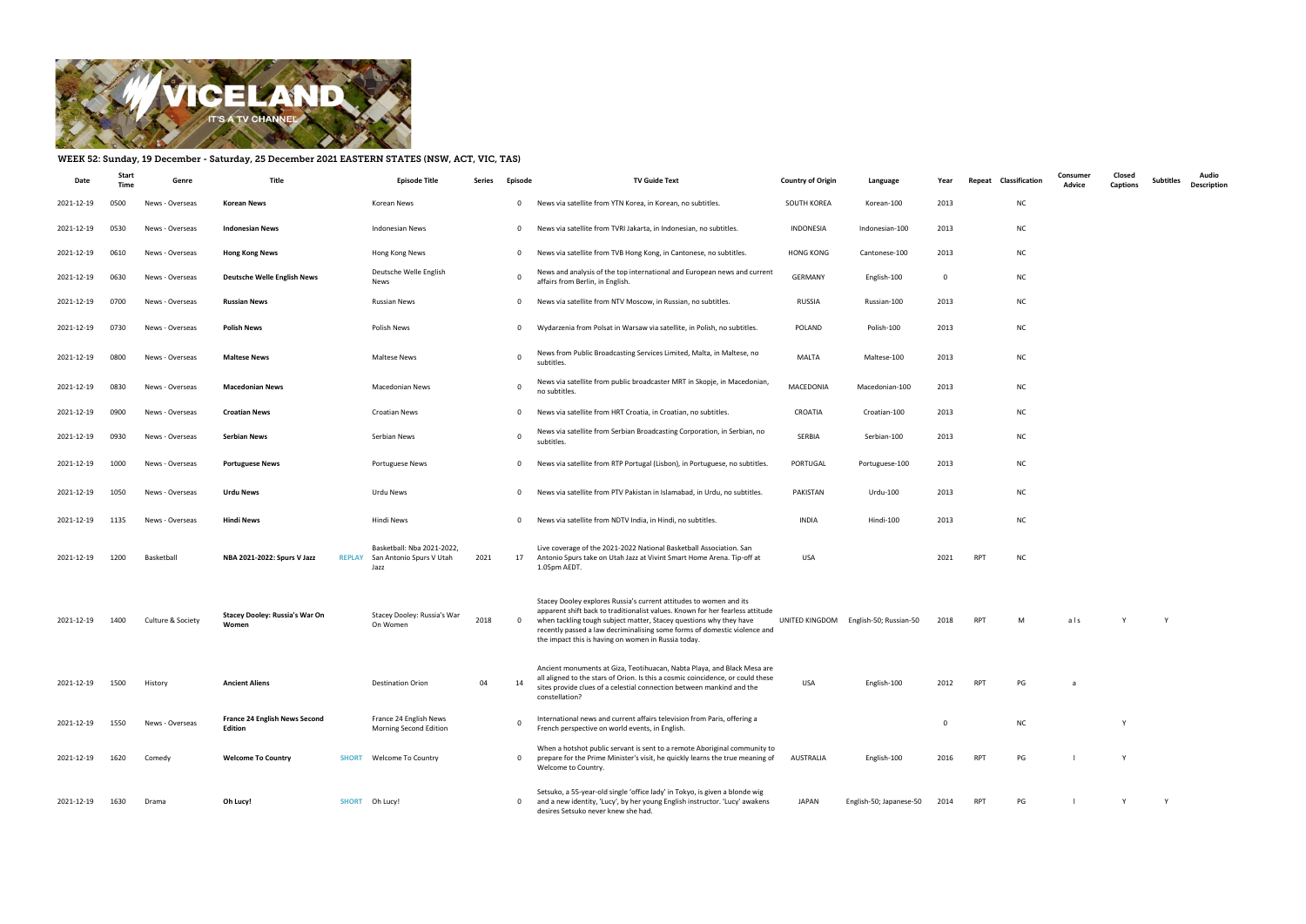

## WEEK 52: Sunday, 19 December - Saturday, 25 December 2021 EASTERN STATES (NSW, ACT, VIC, TAS)

| Date       | Star<br>Time | Genre             | Title                                                  | <b>Episode Title</b>                                                         | Series | Episode        | <b>TV Guide Text</b>                                                                                                                                                                                                                                                                                                                                          | <b>Country of Origin</b> | Language                              | Year                    | Classification<br>Repeat | Consumer<br>Advice | Closed<br><b>Captions</b> | <b>Subtitles</b> | Audio<br>Description |
|------------|--------------|-------------------|--------------------------------------------------------|------------------------------------------------------------------------------|--------|----------------|---------------------------------------------------------------------------------------------------------------------------------------------------------------------------------------------------------------------------------------------------------------------------------------------------------------------------------------------------------------|--------------------------|---------------------------------------|-------------------------|--------------------------|--------------------|---------------------------|------------------|----------------------|
| 2021-12-19 | 0500         | News - Overseas   | <b>Korean News</b>                                     | Korean News                                                                  |        | $\mathbf 0$    | News via satellite from YTN Korea, in Korean, no subtitles.                                                                                                                                                                                                                                                                                                   | SOUTH KOREA              | Korean-100                            | 2013                    | NC                       |                    |                           |                  |                      |
| 2021-12-19 | 0530         | News - Overseas   | <b>Indonesian News</b>                                 | Indonesian News                                                              |        | $\mathbf{0}$   | News via satellite from TVRI Jakarta, in Indonesian, no subtitles.                                                                                                                                                                                                                                                                                            | INDONESIA                | Indonesian-100                        | 2013                    | <b>NC</b>                |                    |                           |                  |                      |
| 2021-12-19 | 0610         | News - Overseas   | <b>Hong Kong News</b>                                  | Hong Kong News                                                               |        | $\mathbf{0}$   | News via satellite from TVB Hong Kong, in Cantonese, no subtitles.                                                                                                                                                                                                                                                                                            | <b>HONG KONG</b>         | Cantonese-100                         | 2013                    | <b>NC</b>                |                    |                           |                  |                      |
| 2021-12-19 | 0630         | News - Overseas   | <b>Deutsche Welle English News</b>                     | Deutsche Welle English<br>News                                               |        | $\Omega$       | News and analysis of the top international and European news and current<br>affairs from Berlin, in English.                                                                                                                                                                                                                                                  | <b>GERMANY</b>           | English-100                           | $\overline{\mathbf{0}}$ | <b>NC</b>                |                    |                           |                  |                      |
| 2021-12-19 | 0700         | News - Overseas   | <b>Russian News</b>                                    | <b>Russian News</b>                                                          |        | $\mathbf 0$    | News via satellite from NTV Moscow, in Russian, no subtitles.                                                                                                                                                                                                                                                                                                 | RUSSIA                   | Russian-100                           | 2013                    | <b>NC</b>                |                    |                           |                  |                      |
| 2021-12-19 | 0730         | News - Overseas   | <b>Polish News</b>                                     | Polish News                                                                  |        | $\mathbf 0$    | Wydarzenia from Polsat in Warsaw via satellite, in Polish, no subtitles.                                                                                                                                                                                                                                                                                      | POLAND                   | Polish-100                            | 2013                    | <b>NC</b>                |                    |                           |                  |                      |
| 2021-12-19 | 0800         | News - Overseas   | <b>Maltese News</b>                                    | Maltese News                                                                 |        | $\overline{0}$ | News from Public Broadcasting Services Limited, Malta, in Maltese, no<br>subtitles                                                                                                                                                                                                                                                                            | <b>MALTA</b>             | Maltese-100                           | 2013                    | <b>NC</b>                |                    |                           |                  |                      |
| 2021-12-19 | 0830         | News - Overseas   | <b>Macedonian News</b>                                 | <b>Macedonian News</b>                                                       |        | $\Omega$       | News via satellite from public broadcaster MRT in Skopje, in Macedonian,<br>no subtitles.                                                                                                                                                                                                                                                                     | MACEDONIA                | Macedonian-100                        | 2013                    | <b>NC</b>                |                    |                           |                  |                      |
| 2021-12-19 | 0900         | News - Overseas   | <b>Croatian News</b>                                   | <b>Croatian News</b>                                                         |        | $\mathbf 0$    | News via satellite from HRT Croatia, in Croatian, no subtitles.                                                                                                                                                                                                                                                                                               | CROATIA                  | Croatian-100                          | 2013                    | <b>NC</b>                |                    |                           |                  |                      |
| 2021-12-19 | 0930         | News - Overseas   | <b>Serbian News</b>                                    | Serbian News                                                                 |        | $\mathbf 0$    | News via satellite from Serbian Broadcasting Corporation, in Serbian, no<br>subtitles.                                                                                                                                                                                                                                                                        | SERBIA                   | Serbian-100                           | 2013                    | <b>NC</b>                |                    |                           |                  |                      |
| 2021-12-19 | 1000         | News - Overseas   | <b>Portuguese News</b>                                 | Portuguese News                                                              |        | $\mathbf{0}$   | News via satellite from RTP Portugal (Lisbon), in Portuguese, no subtitles.                                                                                                                                                                                                                                                                                   | PORTUGAL                 | Portuguese-100                        | 2013                    | <b>NC</b>                |                    |                           |                  |                      |
| 2021-12-19 | 1050         | News - Overseas   | <b>Urdu News</b>                                       | Urdu News                                                                    |        | $\mathbf 0$    | News via satellite from PTV Pakistan in Islamabad, in Urdu, no subtitles.                                                                                                                                                                                                                                                                                     | PAKISTAN                 | Urdu-100                              | 2013                    | <b>NC</b>                |                    |                           |                  |                      |
| 2021-12-19 | 1135         | News - Overseas   | <b>Hindi News</b>                                      | Hindi News                                                                   |        | $\mathbf 0$    | News via satellite from NDTV India, in Hindi, no subtitles.                                                                                                                                                                                                                                                                                                   | INDIA                    | Hindi-100                             | 2013                    | <b>NC</b>                |                    |                           |                  |                      |
| 2021-12-19 | 1200         | Basketball        | NBA 2021-2022: Spurs V Jazz                            | Basketball: Nba 2021-2022,<br><b>REPLAY</b> San Antonio Spurs V Utah<br>Jazz | 2021   | 17             | Live coverage of the 2021-2022 National Basketball Association. San<br>Antonio Spurs take on Utah Jazz at Vivint Smart Home Arena. Tip-off at<br>1.05pm AEDT.                                                                                                                                                                                                 | USA                      |                                       | 2021                    | <b>NC</b><br><b>RPT</b>  |                    |                           |                  |                      |
| 2021-12-19 | 1400         | Culture & Society | <b>Stacey Dooley: Russia's War On</b><br>Women         | Stacey Dooley: Russia's War<br>On Women                                      | 2018   | 0              | Stacey Dooley explores Russia's current attitudes to women and its<br>apparent shift back to traditionalist values. Known for her fearless attitude<br>when tackling tough subject matter, Stacey questions why they have<br>recently passed a law decriminalising some forms of domestic violence and<br>the impact this is having on women in Russia today. |                          | UNITED KINGDOM English-50; Russian-50 | 2018                    | RPT<br>M                 | als                |                           | Y                |                      |
| 2021-12-19 | 1500         | History           | <b>Ancient Aliens</b>                                  | <b>Destination Orion</b>                                                     | 04     | 14             | Ancient monuments at Giza, Teotihuacan, Nabta Playa, and Black Mesa are<br>all aligned to the stars of Orion. Is this a cosmic coincidence, or could these<br>sites provide clues of a celestial connection between mankind and the<br>constellation?                                                                                                         | <b>USA</b>               | English-100                           | 2012                    | RPT<br>PG                | a                  |                           |                  |                      |
| 2021-12-19 | 1550         | News - Overseas   | <b>France 24 English News Second</b><br><b>Edition</b> | France 24 English News<br>Morning Second Edition                             |        | $\Omega$       | International news and current affairs television from Paris, offering a<br>French perspective on world events, in English.                                                                                                                                                                                                                                   |                          |                                       | $\mathbf 0$             | <b>NC</b>                |                    |                           |                  |                      |
| 2021-12-19 | 1620         | Comedy            | <b>Welcome To Country</b>                              | <b>SHORT</b> Welcome To Country                                              |        | $\mathbf 0$    | When a hotshot public servant is sent to a remote Aboriginal community to<br>prepare for the Prime Minister's visit, he quickly learns the true meaning of<br>Welcome to Country.                                                                                                                                                                             | AUSTRALIA                | English-100                           | 2016                    | PG<br>RPT                |                    | Y                         |                  |                      |
| 2021-12-19 | 1630         | Drama             | Oh Lucy!                                               | SHORT Oh Lucy!                                                               |        | $\mathbf{0}$   | Setsuko, a 55-year-old single 'office lady' in Tokyo, is given a blonde wig<br>and a new identity, 'Lucy', by her young English instructor. 'Lucy' awakens<br>desires Setsuko never knew she had.                                                                                                                                                             | JAPAN                    | English-50; Japanese-50               | 2014                    | RPT<br>PG                |                    | Y                         | Y                |                      |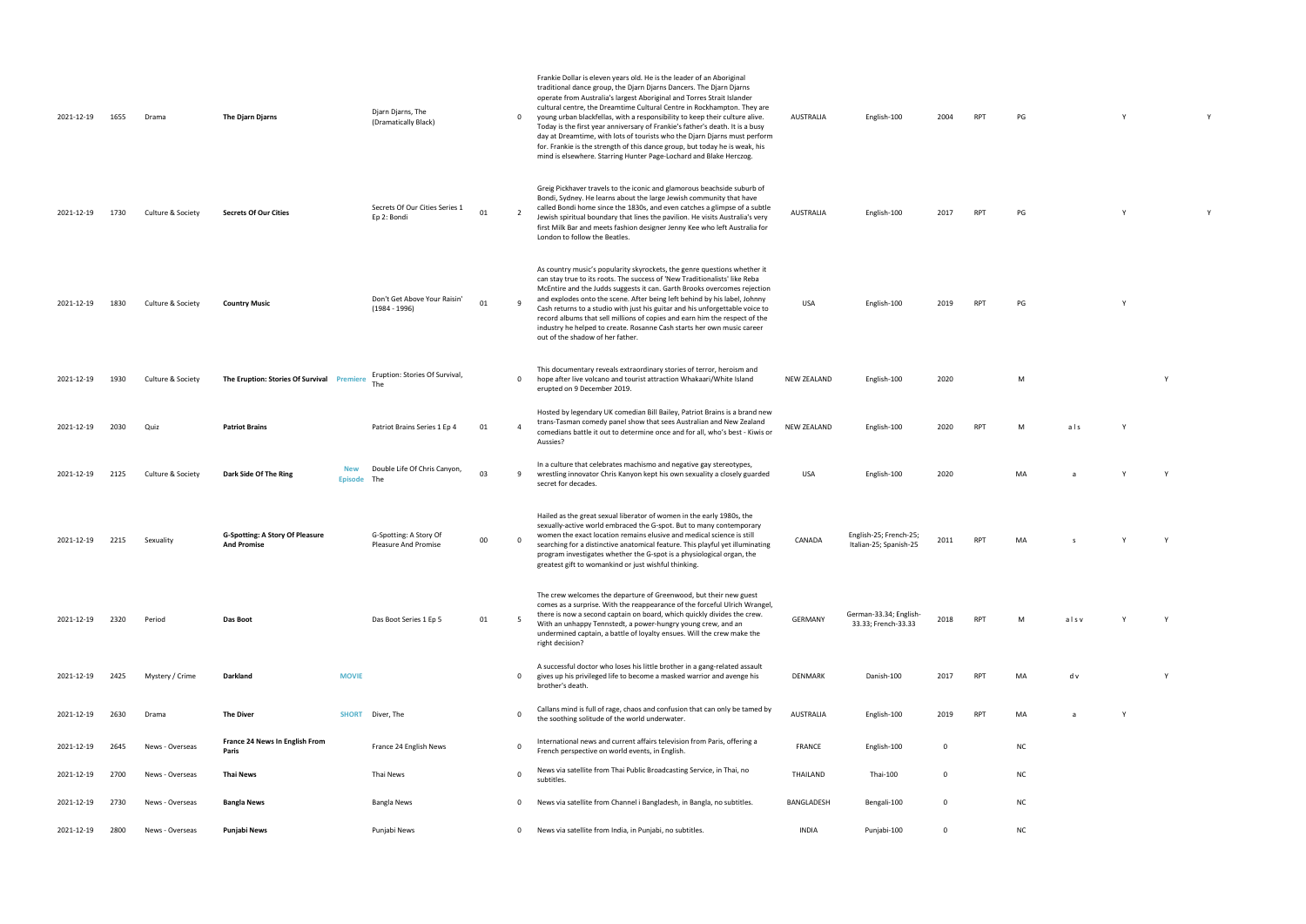| English-100 | 2004 | <b>RPT</b> | PG | v | v |
|-------------|------|------------|----|---|---|
|             |      |            |    |   |   |

|  | 2017 RPT PG | Y |  |
|--|-------------|---|--|

sh-100 2019 RPT PG Y

NEW ZEALAND ENGLISH-100 2020 M Y

RPT M als Y USA English-100 2020 MA a Y Y Y Y

INA S Y Y Y

33.33 RPT M als v Y Y

RPT MA d v Y Y

the solitude of the world underwater. AuSTRALIA English-100 2019 RPT MA a  $\lambda$  Y

| 2021-12-19 | 1655 | Drama             | The Djarn Djarns                                             | Djarn Djarns, The<br>(Dramatically Black)             |    | $\mathbf 0$    | Frankie Dollar is eleven years old. He is the leader of an Aboriginal<br>traditional dance group, the Djarn Djarns Dancers. The Djarn Djarns<br>operate from Australia's largest Aboriginal and Torres Strait Islander<br>cultural centre, the Dreamtime Cultural Centre in Rockhampton. They are<br>young urban blackfellas, with a responsibility to keep their culture alive.<br>Today is the first year anniversary of Frankie's father's death. It is a busy<br>day at Dreamtime, with lots of tourists who the Djarn Djarns must perform<br>for. Frankie is the strength of this dance group, but today he is weak, his<br>mind is elsewhere. Starring Hunter Page-Lochard and Blake Herczog. | <b>AUSTRALIA</b>   | English-100                                      | 2004                    | <b>RPT</b> | PG |
|------------|------|-------------------|--------------------------------------------------------------|-------------------------------------------------------|----|----------------|-----------------------------------------------------------------------------------------------------------------------------------------------------------------------------------------------------------------------------------------------------------------------------------------------------------------------------------------------------------------------------------------------------------------------------------------------------------------------------------------------------------------------------------------------------------------------------------------------------------------------------------------------------------------------------------------------------|--------------------|--------------------------------------------------|-------------------------|------------|----|
| 2021-12-19 | 1730 | Culture & Society | <b>Secrets Of Our Cities</b>                                 | Secrets Of Our Cities Series 1<br>Ep 2: Bondi         | 01 | $\overline{2}$ | Greig Pickhaver travels to the iconic and glamorous beachside suburb of<br>Bondi, Sydney. He learns about the large Jewish community that have<br>called Bondi home since the 1830s, and even catches a glimpse of a subtle<br>Jewish spiritual boundary that lines the pavilion. He visits Australia's very<br>first Milk Bar and meets fashion designer Jenny Kee who left Australia for<br>London to follow the Beatles.                                                                                                                                                                                                                                                                         | <b>AUSTRALIA</b>   | English-100                                      | 2017                    | <b>RPT</b> | PG |
| 2021-12-19 | 1830 | Culture & Society | <b>Country Music</b>                                         | Don't Get Above Your Raisin'<br>$(1984 - 1996)$       | 01 | 9              | As country music's popularity skyrockets, the genre questions whether it<br>can stay true to its roots. The success of 'New Traditionalists' like Reba<br>McEntire and the Judds suggests it can. Garth Brooks overcomes rejection<br>and explodes onto the scene. After being left behind by his label, Johnny<br>Cash returns to a studio with just his guitar and his unforgettable voice to<br>record albums that sell millions of copies and earn him the respect of the<br>industry he helped to create. Rosanne Cash starts her own music career<br>out of the shadow of her father.                                                                                                         | <b>USA</b>         | English-100                                      | 2019                    | <b>RPT</b> | PG |
| 2021-12-19 | 1930 | Culture & Society | The Eruption: Stories Of Survival Premiere                   | Eruption: Stories Of Survival,<br><b>The</b>          |    | $\mathbf 0$    | This documentary reveals extraordinary stories of terror, heroism and<br>hope after live volcano and tourist attraction Whakaari/White Island<br>erupted on 9 December 2019.                                                                                                                                                                                                                                                                                                                                                                                                                                                                                                                        | <b>NEW ZEALAND</b> | English-100                                      | 2020                    |            | M  |
| 2021-12-19 | 2030 | Quiz              | <b>Patriot Brains</b>                                        | Patriot Brains Series 1 Ep 4                          | 01 | $\overline{a}$ | Hosted by legendary UK comedian Bill Bailey, Patriot Brains is a brand new<br>trans-Tasman comedy panel show that sees Australian and New Zealand<br>comedians battle it out to determine once and for all, who's best - Kiwis or<br>Aussies?                                                                                                                                                                                                                                                                                                                                                                                                                                                       | <b>NEW ZEALAND</b> | English-100                                      | 2020                    | <b>RPT</b> | М  |
| 2021-12-19 | 2125 | Culture & Society | <b>New</b><br>Dark Side Of The Ring<br><b>Episode</b>        | Double Life Of Chris Canyon,<br>The                   | 03 | 9              | In a culture that celebrates machismo and negative gay stereotypes,<br>wrestling innovator Chris Kanyon kept his own sexuality a closely guarded<br>secret for decades.                                                                                                                                                                                                                                                                                                                                                                                                                                                                                                                             | <b>USA</b>         | English-100                                      | 2020                    |            |    |
| 2021-12-19 | 2215 | Sexuality         | <b>G-Spotting: A Story Of Pleasure</b><br><b>And Promise</b> | G-Spotting: A Story Of<br><b>Pleasure And Promise</b> | 00 | $\Omega$       | Hailed as the great sexual liberator of women in the early 1980s, the<br>sexually-active world embraced the G-spot. But to many contemporary<br>women the exact location remains elusive and medical science is still<br>searching for a distinctive anatomical feature. This playful yet illuminating<br>program investigates whether the G-spot is a physiological organ, the<br>greatest gift to womankind or just wishful thinking.                                                                                                                                                                                                                                                             | CANADA             | English-25; French-25;<br>Italian-25; Spanish-25 | 2011                    | <b>RPT</b> |    |
| 2021-12-19 | 2320 | Period            | Das Boot                                                     | Das Boot Series 1 Ep 5                                | 01 | -5             | The crew welcomes the departure of Greenwood, but their new guest<br>comes as a surprise. With the reappearance of the forceful Ulrich Wrangel,<br>there is now a second captain on board, which quickly divides the crew.<br>With an unhappy Tennstedt, a power-hungry young crew, and an<br>undermined captain, a battle of loyalty ensues. Will the crew make the<br>right decision?                                                                                                                                                                                                                                                                                                             | <b>GERMANY</b>     | German-33.34; English-<br>33.33; French-33.33    | 2018                    | <b>RPT</b> | M  |
| 2021-12-19 | 2425 | Mystery / Crime   | <b>MOVIE</b><br>Darkland                                     |                                                       |    | 0              | A successful doctor who loses his little brother in a gang-related assault<br>gives up his privileged life to become a masked warrior and avenge his<br>brother's death.                                                                                                                                                                                                                                                                                                                                                                                                                                                                                                                            | DENMARK            | Danish-100                                       | 2017                    | <b>RPT</b> | M  |
| 2021-12-19 | 2630 | Drama             | <b>The Diver</b><br><b>SHORT</b>                             | Diver, The                                            |    | $\Omega$       | Callans mind is full of rage, chaos and confusion that can only be tamed by<br>the soothing solitude of the world underwater.                                                                                                                                                                                                                                                                                                                                                                                                                                                                                                                                                                       | <b>AUSTRALIA</b>   | English-100                                      | 2019                    | <b>RPT</b> | MA |
| 2021-12-19 | 2645 | News - Overseas   | France 24 News In English From<br>Paris                      | France 24 English News                                |    | 0              | International news and current affairs television from Paris, offering a<br>French perspective on world events, in English.                                                                                                                                                                                                                                                                                                                                                                                                                                                                                                                                                                         | FRANCE             | English-100                                      | 0                       |            | N0 |
| 2021-12-19 | 2700 | News - Overseas   | <b>Thai News</b>                                             | Thai News                                             |    | $\Omega$       | News via satellite from Thai Public Broadcasting Service, in Thai, no<br>subtitles.                                                                                                                                                                                                                                                                                                                                                                                                                                                                                                                                                                                                                 | THAILAND           | Thai-100                                         | $\overline{\mathbf{0}}$ |            | N0 |
| 2021-12-19 | 2730 | News - Overseas   | <b>Bangla News</b>                                           | Bangla News                                           |    | 0              | News via satellite from Channel i Bangladesh, in Bangla, no subtitles.                                                                                                                                                                                                                                                                                                                                                                                                                                                                                                                                                                                                                              | BANGLADESH         | Bengali-100                                      | 0                       |            | N0 |
| 2021-12-19 | 2800 | News - Overseas   | Punjabi News                                                 | Punjabi News                                          |    | 0              | News via satellite from India, in Punjabi, no subtitles.                                                                                                                                                                                                                                                                                                                                                                                                                                                                                                                                                                                                                                            | <b>INDIA</b>       | Punjabi-100                                      | 0                       |            | N0 |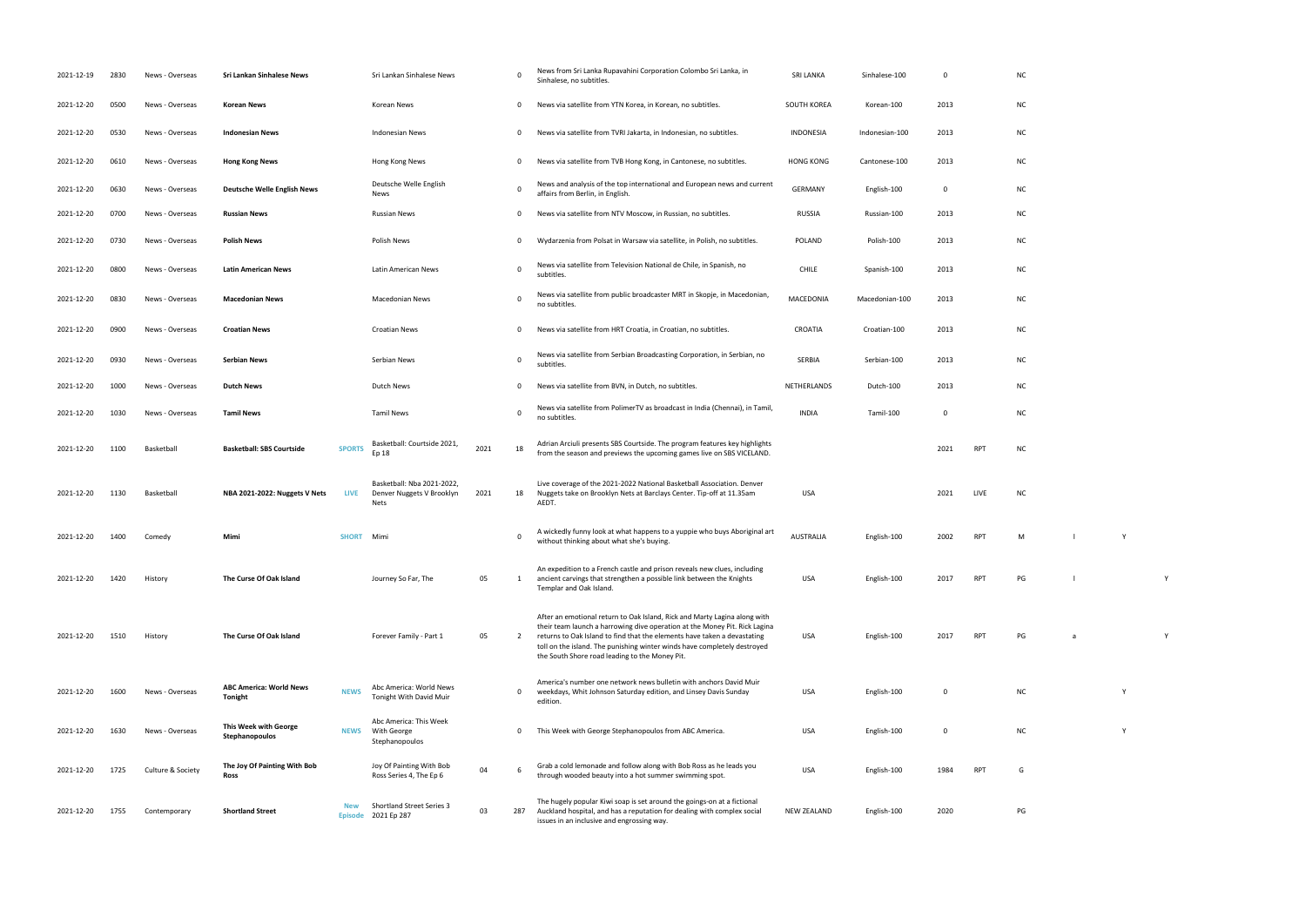| 2021-12-19 | 2830 | News - Overseas   | Sri Lankan Sinhalese News                      |               | Sri Lankan Sinhalese News                                              |      | 0        | News from Sri Lanka Rupavahini Corporation Colombo Sri Lanka, in<br>Sinhalese, no subtitles.                                                                                                                                                                                                                                                                      | <b>SRI LANKA</b> | Sinhalese-100  | 0           |            | <b>NC</b> |   |  |
|------------|------|-------------------|------------------------------------------------|---------------|------------------------------------------------------------------------|------|----------|-------------------------------------------------------------------------------------------------------------------------------------------------------------------------------------------------------------------------------------------------------------------------------------------------------------------------------------------------------------------|------------------|----------------|-------------|------------|-----------|---|--|
| 2021-12-20 | 0500 | News - Overseas   | <b>Korean News</b>                             |               | Korean News                                                            |      | 0        | News via satellite from YTN Korea, in Korean, no subtitles.                                                                                                                                                                                                                                                                                                       | SOUTH KOREA      | Korean-100     | 2013        |            | <b>NC</b> |   |  |
| 2021-12-20 | 0530 | News - Overseas   | <b>Indonesian News</b>                         |               | <b>Indonesian News</b>                                                 |      | 0        | News via satellite from TVRI Jakarta, in Indonesian, no subtitles.                                                                                                                                                                                                                                                                                                | <b>INDONESIA</b> | Indonesian-100 | 2013        |            | <b>NC</b> |   |  |
| 2021-12-20 | 0610 | News - Overseas   | <b>Hong Kong News</b>                          |               | Hong Kong News                                                         |      | 0        | News via satellite from TVB Hong Kong, in Cantonese, no subtitles.                                                                                                                                                                                                                                                                                                | <b>HONG KONG</b> | Cantonese-100  | 2013        |            | <b>NC</b> |   |  |
| 2021-12-20 | 0630 | News - Overseas   | <b>Deutsche Welle English News</b>             |               | Deutsche Welle English<br>News                                         |      | 0        | News and analysis of the top international and European news and current<br>affairs from Berlin, in English.                                                                                                                                                                                                                                                      | <b>GERMANY</b>   | English-100    | 0           |            | <b>NC</b> |   |  |
| 2021-12-20 | 0700 | News - Overseas   | <b>Russian News</b>                            |               | <b>Russian News</b>                                                    |      | 0        | News via satellite from NTV Moscow, in Russian, no subtitles.                                                                                                                                                                                                                                                                                                     | <b>RUSSIA</b>    | Russian-100    | 2013        |            | <b>NC</b> |   |  |
| 2021-12-20 | 0730 | News - Overseas   | <b>Polish News</b>                             |               | <b>Polish News</b>                                                     |      | 0        | Wydarzenia from Polsat in Warsaw via satellite, in Polish, no subtitles.                                                                                                                                                                                                                                                                                          | <b>POLAND</b>    | Polish-100     | 2013        |            | <b>NC</b> |   |  |
| 2021-12-20 | 0800 | News - Overseas   | <b>Latin American News</b>                     |               | Latin American News                                                    |      | 0        | News via satellite from Television National de Chile, in Spanish, no<br>subtitles.                                                                                                                                                                                                                                                                                | <b>CHILE</b>     | Spanish-100    | 2013        |            | <b>NC</b> |   |  |
| 2021-12-20 | 0830 | News - Overseas   | <b>Macedonian News</b>                         |               | Macedonian News                                                        |      | 0        | News via satellite from public broadcaster MRT in Skopje, in Macedonian,<br>no subtitles.                                                                                                                                                                                                                                                                         | <b>MACEDONIA</b> | Macedonian-100 | 2013        |            | <b>NC</b> |   |  |
| 2021-12-20 | 0900 | News - Overseas   | <b>Croatian News</b>                           |               | <b>Croatian News</b>                                                   |      | 0        | News via satellite from HRT Croatia, in Croatian, no subtitles.                                                                                                                                                                                                                                                                                                   | CROATIA          | Croatian-100   | 2013        |            | <b>NC</b> |   |  |
| 2021-12-20 | 0930 | News - Overseas   | <b>Serbian News</b>                            |               | Serbian News                                                           |      | 0        | News via satellite from Serbian Broadcasting Corporation, in Serbian, no<br>subtitles.                                                                                                                                                                                                                                                                            | SERBIA           | Serbian-100    | 2013        |            | <b>NC</b> |   |  |
| 2021-12-20 | 1000 | News - Overseas   | <b>Dutch News</b>                              |               | <b>Dutch News</b>                                                      |      | 0        | News via satellite from BVN, in Dutch, no subtitles.                                                                                                                                                                                                                                                                                                              | NETHERLANDS      | Dutch-100      | 2013        |            | NC.       |   |  |
| 2021-12-20 | 1030 | News - Overseas   | <b>Tamil News</b>                              |               | <b>Tamil News</b>                                                      |      | 0        | News via satellite from PolimerTV as broadcast in India (Chennai), in Tamil,<br>no subtitles.                                                                                                                                                                                                                                                                     | <b>INDIA</b>     | Tamil-100      | 0           |            | <b>NC</b> |   |  |
| 2021-12-20 | 1100 | Basketball        | <b>Basketball: SBS Courtside</b>               | <b>SPORTS</b> | Basketball: Courtside 2021,<br>Ep 18                                   | 2021 | 18       | Adrian Arciuli presents SBS Courtside. The program features key highlights<br>from the season and previews the upcoming games live on SBS VICELAND.                                                                                                                                                                                                               |                  |                | 2021        | <b>RPT</b> | <b>NC</b> |   |  |
| 2021-12-20 | 1130 | Basketball        | NBA 2021-2022: Nuggets V Nets                  | LIVE          | Basketball: Nba 2021-2022,<br>Denver Nuggets V Brooklyn<br><b>Nets</b> | 2021 | 18       | Live coverage of the 2021-2022 National Basketball Association. Denver<br>Nuggets take on Brooklyn Nets at Barclays Center. Tip-off at 11.35am<br>AEDT.                                                                                                                                                                                                           | USA              |                | 2021        | LIVE       | <b>NC</b> |   |  |
| 2021-12-20 | 1400 | Comedy            | Mimi                                           | <b>SHORT</b>  | Mimi                                                                   |      | $\Omega$ | A wickedly funny look at what happens to a yuppie who buys Aboriginal art<br>without thinking about what she's buying.                                                                                                                                                                                                                                            | <b>AUSTRALIA</b> | English-100    | 2002        | RPT        | M         |   |  |
| 2021-12-20 | 1420 | History           | The Curse Of Oak Island                        |               | Journey So Far, The                                                    | 05   | 1        | An expedition to a French castle and prison reveals new clues, including<br>ancient carvings that strengthen a possible link between the Knights<br>Templar and Oak Island.                                                                                                                                                                                       | <b>USA</b>       | English-100    | 2017        | <b>RPT</b> | PG        |   |  |
| 2021-12-20 | 1510 | History           | The Curse Of Oak Island                        |               | Forever Family - Part 1                                                | 05   | 2        | After an emotional return to Oak Island, Rick and Marty Lagina along with<br>their team launch a harrowing dive operation at the Money Pit. Rick Lagina<br>returns to Oak Island to find that the elements have taken a devastating<br>toll on the island. The punishing winter winds have completely destroyed<br>the South Shore road leading to the Money Pit. | USA              | English-100    | 2017        | <b>RPT</b> | PG        | a |  |
| 2021-12-20 | 1600 | News - Overseas   | <b>ABC America: World News</b><br>Tonight      | <b>NEWS</b>   | Abc America: World News<br>Tonight With David Muir                     |      | 0        | America's number one network news bulletin with anchors David Muir<br>weekdays, Whit Johnson Saturday edition, and Linsey Davis Sunday<br>edition.                                                                                                                                                                                                                | USA              | English-100    | $\mathbf 0$ |            | <b>NC</b> |   |  |
| 2021-12-20 | 1630 | News - Overseas   | <b>This Week with George</b><br>Stephanopoulos |               | Abc America: This Week<br><b>NEWS</b> With George<br>Stephanopoulos    |      | 0        | This Week with George Stephanopoulos from ABC America.                                                                                                                                                                                                                                                                                                            | <b>USA</b>       | English-100    | $\mathbf 0$ |            | <b>NC</b> |   |  |
| 2021-12-20 | 1725 | Culture & Society | The Joy Of Painting With Bob<br>Ross           |               | Joy Of Painting With Bob<br>Ross Series 4, The Ep 6                    | 04   | 6        | Grab a cold lemonade and follow along with Bob Ross as he leads you<br>through wooded beauty into a hot summer swimming spot.                                                                                                                                                                                                                                     | USA              | English-100    | 1984        | <b>RPT</b> | G         |   |  |
| 2021-12-20 | 1755 | Contemporary      | <b>Shortland Street</b>                        | <b>New</b>    | Shortland Street Series 3<br>Episode 2021 Ep 287                       | 03   | 287      | The hugely popular Kiwi soap is set around the goings-on at a fictional<br>Auckland hospital, and has a reputation for dealing with complex social<br>issues in an inclusive and engrossing way.                                                                                                                                                                  | NEW ZEALAND      | English-100    | 2020        |            | PG        |   |  |

| NC |              |   |   |
|----|--------------|---|---|
| NC |              |   |   |
| NC |              |   |   |
| NC |              |   |   |
| NC |              |   |   |
| NC |              |   |   |
| NC |              |   |   |
| NC |              |   |   |
| NC |              |   |   |
| NC |              |   |   |
| NC |              |   |   |
| NC |              |   |   |
| NC |              |   |   |
| NC |              |   |   |
| NC |              |   |   |
|    |              |   |   |
| M  | $\mathbf{I}$ | Y |   |
| PG | $\mathbf{I}$ |   | Y |
|    |              |   |   |
| PG | a            |   | Υ |
|    |              |   |   |
| NC |              | Y |   |
|    |              |   |   |
| NC |              | Y |   |
| G  |              |   |   |
|    |              |   |   |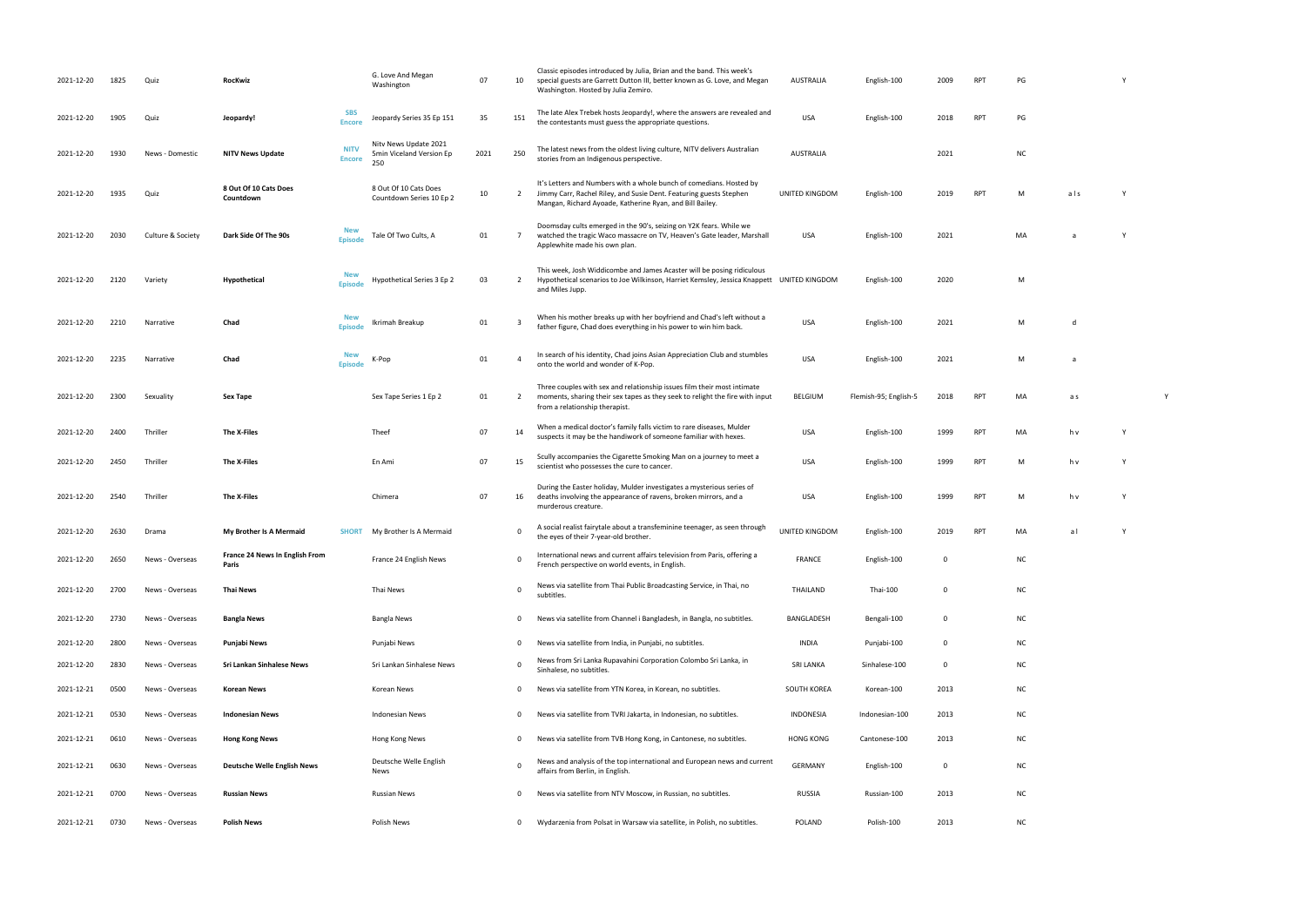| -95; English-5 | 2018 | <b>RPT</b> | MA | a s |   |
|----------------|------|------------|----|-----|---|
| glish-100      | 1999 | <b>RPT</b> | MA | h v | ۷ |

| .  | .   | . . |
|----|-----|-----|
|    |     |     |
|    |     |     |
|    |     |     |
|    |     |     |
|    |     |     |
|    |     |     |
|    |     |     |
| MA | a l | γ   |
|    |     |     |

- 
- 
- 
- 
- 
- 
- 
- 
- 
- 
- 
- 
- 

| 2021-12-20 | 1825 | Quiz              | RocKwiz                                 |                              | G. Love And Megan<br>Washington                          | 07   | 10             | Classic episodes introduced by Julia, Brian and the band. This week's<br>special guests are Garrett Dutton III, better known as G. Love, and Megan<br>Washington. Hosted by Julia Zemiro.             | AUSTRALIA             | English-100           | 2009         | <b>RPT</b> | PG        |     |     |  |
|------------|------|-------------------|-----------------------------------------|------------------------------|----------------------------------------------------------|------|----------------|-------------------------------------------------------------------------------------------------------------------------------------------------------------------------------------------------------|-----------------------|-----------------------|--------------|------------|-----------|-----|-----|--|
| 2021-12-20 | 1905 | Quiz              | Jeopardy!                               | <b>SBS</b><br><b>Encore</b>  | Jeopardy Series 35 Ep 151                                | 35   | 151            | The late Alex Trebek hosts Jeopardy!, where the answers are revealed and<br>the contestants must guess the appropriate questions.                                                                     | USA                   | English-100           | 2018         | <b>RPT</b> | PG        |     |     |  |
| 2021-12-20 | 1930 | News - Domestic   | <b>NITV News Update</b>                 | <b>NITV</b><br><b>Encore</b> | Nity News Update 2021<br>5min Viceland Version Ep<br>250 | 2021 | 250            | The latest news from the oldest living culture, NITV delivers Australian<br>stories from an Indigenous perspective.                                                                                   | <b>AUSTRALIA</b>      |                       | 2021         |            | <b>NC</b> |     |     |  |
| 2021-12-20 | 1935 | Quiz              | 8 Out Of 10 Cats Does<br>Countdown      |                              | 8 Out Of 10 Cats Does<br>Countdown Series 10 Ep 2        | 10   | $\overline{2}$ | It's Letters and Numbers with a whole bunch of comedians. Hosted by<br>Jimmy Carr, Rachel Riley, and Susie Dent. Featuring guests Stephen<br>Mangan, Richard Ayoade, Katherine Ryan, and Bill Bailey. | UNITED KINGDOM        | English-100           | 2019         | <b>RPT</b> | M         | als |     |  |
| 2021-12-20 | 2030 | Culture & Society | Dark Side Of The 90s                    | <b>New</b><br><b>Episode</b> | Tale Of Two Cults, A                                     | 01   | 7              | Doomsday cults emerged in the 90's, seizing on Y2K fears. While we<br>watched the tragic Waco massacre on TV, Heaven's Gate leader, Marshall<br>Applewhite made his own plan.                         | USA                   | English-100           | 2021         |            | MA        |     |     |  |
| 2021-12-20 | 2120 | Variety           | <b>Hypothetical</b>                     | <b>New</b><br><b>Episode</b> | Hypothetical Series 3 Ep 2                               | 03   | $\overline{2}$ | This week, Josh Widdicombe and James Acaster will be posing ridiculous<br>Hypothetical scenarios to Joe Wilkinson, Harriet Kemsley, Jessica Knappett UNITED KINGDOM<br>and Miles Jupp.                |                       | English-100           | 2020         |            | M         |     |     |  |
| 2021-12-20 | 2210 | Narrative         | Chad                                    | <b>New</b><br><b>Episode</b> | Ikrimah Breakup                                          | 01   | 3              | When his mother breaks up with her boyfriend and Chad's left without a<br>father figure, Chad does everything in his power to win him back.                                                           | <b>USA</b>            | English-100           | 2021         |            | M         | d   |     |  |
| 2021-12-20 | 2235 | Narrative         | Chad                                    | <b>New</b><br><b>Episode</b> | K-Pop                                                    | 01   | $\overline{4}$ | In search of his identity, Chad joins Asian Appreciation Club and stumbles<br>onto the world and wonder of K-Pop.                                                                                     | <b>USA</b>            | English-100           | 2021         |            | M         | a   |     |  |
| 2021-12-20 | 2300 | Sexuality         | Sex Tape                                |                              | Sex Tape Series 1 Ep 2                                   | 01   | 2              | Three couples with sex and relationship issues film their most intimate<br>moments, sharing their sex tapes as they seek to relight the fire with input<br>from a relationship therapist.             | BELGIUM               | Flemish-95; English-5 | 2018         | <b>RPT</b> | MA        | a s |     |  |
| 2021-12-20 | 2400 | Thriller          | The X-Files                             |                              | Theef                                                    | 07   | 14             | When a medical doctor's family falls victim to rare diseases, Mulder<br>suspects it may be the handiwork of someone familiar with hexes.                                                              | <b>USA</b>            | English-100           | 1999         | <b>RPT</b> | MA        | h v | - Y |  |
| 2021-12-20 | 2450 | Thriller          | The X-Files                             |                              | En Ami                                                   | 07   | 15             | Scully accompanies the Cigarette Smoking Man on a journey to meet a<br>scientist who possesses the cure to cancer.                                                                                    | <b>USA</b>            | English-100           | 1999         | <b>RPT</b> | M         | h v |     |  |
| 2021-12-20 | 2540 | Thriller          | The X-Files                             |                              | Chimera                                                  | 07   | 16             | During the Easter holiday, Mulder investigates a mysterious series of<br>deaths involving the appearance of ravens, broken mirrors, and a<br>murderous creature.                                      | USA                   | English-100           | 1999         | <b>RPT</b> | M         | h v |     |  |
| 2021-12-20 | 2630 | Drama             | My Brother Is A Mermaid                 | <b>SHORT</b>                 | My Brother Is A Mermaid                                  |      | $\mathbf 0$    | A social realist fairytale about a transfeminine teenager, as seen through<br>the eyes of their 7-year-old brother.                                                                                   | <b>UNITED KINGDOM</b> | English-100           | 2019         | <b>RPT</b> | MA        | al  | Y   |  |
| 2021-12-20 | 2650 | News - Overseas   | France 24 News In English From<br>Paris |                              | France 24 English News                                   |      | $\mathbf{0}$   | International news and current affairs television from Paris, offering a<br>French perspective on world events, in English.                                                                           | FRANCE                | English-100           | $\mathbf{0}$ |            | <b>NC</b> |     |     |  |
| 2021-12-20 | 2700 | News - Overseas   | <b>Thai News</b>                        |                              | Thai News                                                |      | $\mathbf 0$    | News via satellite from Thai Public Broadcasting Service, in Thai, no<br>subtitles.                                                                                                                   | THAILAND              | Thai-100              | $\mathbf 0$  |            | <b>NC</b> |     |     |  |
| 2021-12-20 | 2730 | News - Overseas   | <b>Bangla News</b>                      |                              | Bangla News                                              |      | 0              | News via satellite from Channel i Bangladesh, in Bangla, no subtitles.                                                                                                                                | BANGLADESH            | Bengali-100           | $\mathbf 0$  |            | <b>NC</b> |     |     |  |
| 2021-12-20 | 2800 | News - Overseas   | Punjabi News                            |                              | Punjabi News                                             |      | $\mathbf 0$    | News via satellite from India, in Punjabi, no subtitles.                                                                                                                                              | INDIA                 | Punjabi-100           | $\mathbf 0$  |            | <b>NC</b> |     |     |  |
| 2021-12-20 | 2830 | News - Overseas   | Sri Lankan Sinhalese News               |                              | Sri Lankan Sinhalese News                                |      | 0              | News from Sri Lanka Rupavahini Corporation Colombo Sri Lanka, in<br>Sinhalese, no subtitles.                                                                                                          | SRI LANKA             | Sinhalese-100         | $\mathbf 0$  |            | <b>NC</b> |     |     |  |
| 2021-12-21 | 0500 | News - Overseas   | Korean News                             |                              | Korean News                                              |      | $\mathbf{0}$   | News via satellite from YTN Korea, in Korean, no subtitles.                                                                                                                                           | SOUTH KOREA           | Korean-100            | 2013         |            | <b>NC</b> |     |     |  |
| 2021-12-21 | 0530 | News - Overseas   | <b>Indonesian News</b>                  |                              | Indonesian News                                          |      | 0              | News via satellite from TVRI Jakarta, in Indonesian, no subtitles.                                                                                                                                    | <b>INDONESIA</b>      | Indonesian-100        | 2013         |            | <b>NC</b> |     |     |  |
| 2021-12-21 | 0610 | News - Overseas   | <b>Hong Kong News</b>                   |                              | Hong Kong News                                           |      | 0              | News via satellite from TVB Hong Kong, in Cantonese, no subtitles.                                                                                                                                    | <b>HONG KONG</b>      | Cantonese-100         | 2013         |            | NC        |     |     |  |
| 2021-12-21 | 0630 | News - Overseas   | <b>Deutsche Welle English News</b>      |                              | Deutsche Welle English<br>News                           |      | $\mathbf 0$    | News and analysis of the top international and European news and current<br>affairs from Berlin, in English.                                                                                          | <b>GERMANY</b>        | English-100           | $\mathbf 0$  |            | <b>NC</b> |     |     |  |
| 2021-12-21 | 0700 | News - Overseas   | <b>Russian News</b>                     |                              | Russian News                                             |      | $\mathbf 0$    | News via satellite from NTV Moscow, in Russian, no subtitles.                                                                                                                                         | <b>RUSSIA</b>         | Russian-100           | 2013         |            | <b>NC</b> |     |     |  |
| 2021-12-21 | 0730 | News - Overseas   | Polish News                             |                              | Polish News                                              |      | $\mathbf 0$    | Wydarzenia from Polsat in Warsaw via satellite, in Polish, no subtitles.                                                                                                                              | POLAND                | Polish-100            | 2013         |            | <b>NC</b> |     |     |  |

| PG | Υ |
|----|---|
|    |   |
| PG |   |

| NC |  |  |  |
|----|--|--|--|

| M | a <sub>l</sub> s | Υ |
|---|------------------|---|
|   |                  |   |

| МA | a | Υ |
|----|---|---|
|    |   |   |

| M |  |  |  |
|---|--|--|--|
|   |  |  |  |

| M | d |  |
|---|---|--|
|   |   |  |

| M | a |
|---|---|
|   |   |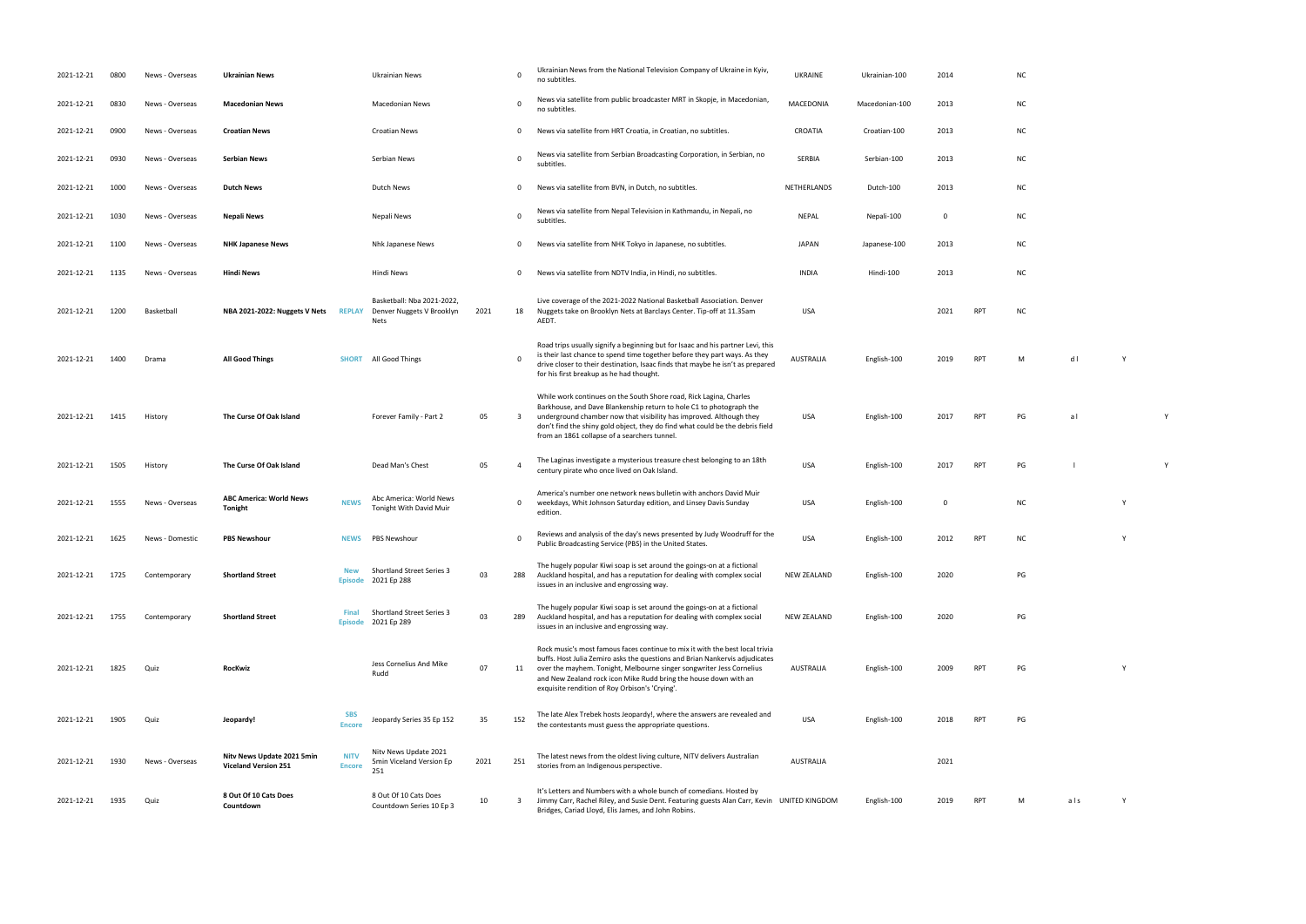| 2021-12-21 | 0800 | News - Overseas | <b>Ukrainian News</b>                                     |                              | Ukrainian News                                                         |      | $\mathbf 0$             | Ukrainian News from the National Television Company of Ukraine in Kyiv,<br>no subtitles.                                                                                                                                                                                                                                                                  | <b>UKRAINE</b>     | Ukrainian-100  | 2014        |            | <b>NC</b> |     |   |
|------------|------|-----------------|-----------------------------------------------------------|------------------------------|------------------------------------------------------------------------|------|-------------------------|-----------------------------------------------------------------------------------------------------------------------------------------------------------------------------------------------------------------------------------------------------------------------------------------------------------------------------------------------------------|--------------------|----------------|-------------|------------|-----------|-----|---|
| 2021-12-21 | 0830 | News - Overseas | <b>Macedonian News</b>                                    |                              | Macedonian News                                                        |      | $\mathbf 0$             | News via satellite from public broadcaster MRT in Skopje, in Macedonian,<br>no subtitles.                                                                                                                                                                                                                                                                 | MACEDONIA          | Macedonian-100 | 2013        |            | <b>NC</b> |     |   |
| 2021-12-21 | 0900 | News - Overseas | <b>Croatian News</b>                                      |                              | <b>Croatian News</b>                                                   |      | 0                       | News via satellite from HRT Croatia, in Croatian, no subtitles.                                                                                                                                                                                                                                                                                           | CROATIA            | Croatian-100   | 2013        |            | <b>NC</b> |     |   |
| 2021-12-21 | 0930 | News - Overseas | <b>Serbian News</b>                                       |                              | Serbian News                                                           |      | $\mathbf 0$             | News via satellite from Serbian Broadcasting Corporation, in Serbian, no<br>subtitles                                                                                                                                                                                                                                                                     | SERBIA             | Serbian-100    | 2013        |            | <b>NC</b> |     |   |
| 2021-12-21 | 1000 | News - Overseas | <b>Dutch News</b>                                         |                              | Dutch News                                                             |      | 0                       | News via satellite from BVN, in Dutch, no subtitles.                                                                                                                                                                                                                                                                                                      | NETHERLANDS        | Dutch-100      | 2013        |            | <b>NC</b> |     |   |
| 2021-12-21 | 1030 | News - Overseas | <b>Nepali News</b>                                        |                              | Nepali News                                                            |      | $\mathbf 0$             | News via satellite from Nepal Television in Kathmandu, in Nepali, no<br>subtitles.                                                                                                                                                                                                                                                                        | NEPAL              | Nepali-100     | $\mathbf 0$ |            | <b>NC</b> |     |   |
| 2021-12-21 | 1100 | News - Overseas | <b>NHK Japanese News</b>                                  |                              | Nhk Japanese News                                                      |      | 0                       | News via satellite from NHK Tokyo in Japanese, no subtitles.                                                                                                                                                                                                                                                                                              | JAPAN              | Japanese-100   | 2013        |            | <b>NC</b> |     |   |
| 2021-12-21 | 1135 | News - Overseas | <b>Hindi News</b>                                         |                              | Hindi News                                                             |      | 0                       | News via satellite from NDTV India, in Hindi, no subtitles.                                                                                                                                                                                                                                                                                               | <b>INDIA</b>       | Hindi-100      | 2013        |            | <b>NC</b> |     |   |
| 2021-12-21 | 1200 | Basketball      | NBA 2021-2022: Nuggets V Nets                             | <b>REPLAY</b>                | Basketball: Nba 2021-2022,<br>Denver Nuggets V Brooklyn<br><b>Nets</b> | 2021 | 18                      | Live coverage of the 2021-2022 National Basketball Association. Denver<br>Nuggets take on Brooklyn Nets at Barclays Center. Tip-off at 11.35am<br>AEDT.                                                                                                                                                                                                   | <b>USA</b>         |                | 2021        | <b>RPT</b> | <b>NC</b> |     |   |
| 2021-12-21 | 1400 | Drama           | <b>All Good Things</b>                                    | <b>SHORT</b>                 | All Good Things                                                        |      | 0                       | Road trips usually signify a beginning but for Isaac and his partner Levi, this<br>is their last chance to spend time together before they part ways. As they<br>drive closer to their destination, Isaac finds that maybe he isn't as prepared<br>for his first breakup as he had thought.                                                               | <b>AUSTRALIA</b>   | English-100    | 2019        | RPT        | М         | dl  | Y |
| 2021-12-21 | 1415 | History         | The Curse Of Oak Island                                   |                              | Forever Family - Part 2                                                | 05   | $\overline{\mathbf{3}}$ | While work continues on the South Shore road, Rick Lagina, Charles<br>Barkhouse, and Dave Blankenship return to hole C1 to photograph the<br>underground chamber now that visibility has improved. Although they<br>don't find the shiny gold object, they do find what could be the debris field<br>from an 1861 collapse of a searchers tunnel.         | USA                | English-100    | 2017        | <b>RPT</b> | PG        | al  |   |
| 2021-12-21 | 1505 | History         | The Curse Of Oak Island                                   |                              | Dead Man's Chest                                                       | 05   | $\overline{4}$          | The Laginas investigate a mysterious treasure chest belonging to an 18th<br>century pirate who once lived on Oak Island.                                                                                                                                                                                                                                  | <b>USA</b>         | English-100    | 2017        | <b>RPT</b> | PG        |     |   |
| 2021-12-21 | 1555 | News - Overseas | <b>ABC America: World News</b><br><b>Tonight</b>          | <b>NEWS</b>                  | Abc America: World News<br>Tonight With David Muir                     |      | 0                       | America's number one network news bulletin with anchors David Muir<br>weekdays, Whit Johnson Saturday edition, and Linsey Davis Sunday<br>edition.                                                                                                                                                                                                        | <b>USA</b>         | English-100    | 0           |            | <b>NC</b> |     | Y |
| 2021-12-21 | 1625 | News - Domestic | <b>PBS Newshour</b>                                       | <b>NEWS</b>                  | PBS Newshour                                                           |      | $\Omega$                | Reviews and analysis of the day's news presented by Judy Woodruff for the<br>Public Broadcasting Service (PBS) in the United States.                                                                                                                                                                                                                      | <b>USA</b>         | English-100    | 2012        | <b>RPT</b> | <b>NC</b> |     | Y |
| 2021-12-21 | 1725 | Contemporary    | <b>Shortland Street</b>                                   | <b>Episode</b>               | <b>Shortland Street Series 3</b><br>2021 Ep 288                        | 03   | 288                     | The hugely popular Kiwi soap is set around the goings-on at a fictional<br>Auckland hospital, and has a reputation for dealing with complex social<br>issues in an inclusive and engrossing way.                                                                                                                                                          | <b>NEW ZEALAND</b> | English-100    | 2020        |            | PG        |     |   |
| 2021-12-21 | 1755 | Contemporary    | <b>Shortland Street</b>                                   | <b>Final</b>                 | <b>Shortland Street Series 3</b><br>Episode 2021 Ep 289                | 03   | 289                     | The hugely popular Kiwi soap is set around the goings-on at a fictional<br>Auckland hospital, and has a reputation for dealing with complex social<br>issues in an inclusive and engrossing way.                                                                                                                                                          | <b>NEW ZEALAND</b> | English-100    | 2020        |            | PG        |     |   |
| 2021-12-21 | 1825 | Quiz            | <b>RocKwiz</b>                                            |                              | Jess Cornelius And Mike<br>Rudd                                        | 07   | 11                      | Rock music's most famous faces continue to mix it with the best local trivia<br>buffs. Host Julia Zemiro asks the questions and Brian Nankervis adjudicates<br>over the mayhem. Tonight, Melbourne singer songwriter Jess Cornelius<br>and New Zealand rock icon Mike Rudd bring the house down with an<br>exquisite rendition of Roy Orbison's 'Crying'. | AUSTRALIA          | English-100    | 2009        | <b>RPT</b> | PG        |     |   |
| 2021-12-21 | 1905 | Quiz            | Jeopardy!                                                 | <b>SBS</b><br><b>Encore</b>  | Jeopardy Series 35 Ep 152                                              | 35   | 152                     | The late Alex Trebek hosts Jeopardy!, where the answers are revealed and<br>the contestants must guess the appropriate questions.                                                                                                                                                                                                                         | <b>USA</b>         | English-100    | 2018        | <b>RPT</b> | PG        |     |   |
| 2021-12-21 | 1930 | News - Overseas | Nitv News Update 2021 5min<br><b>Viceland Version 251</b> | <b>NITV</b><br><b>Encore</b> | Nity News Update 2021<br>5min Viceland Version Ep<br>251               | 2021 | 251                     | The latest news from the oldest living culture, NITV delivers Australian<br>stories from an Indigenous perspective.                                                                                                                                                                                                                                       | AUSTRALIA          |                | 2021        |            |           |     |   |
| 2021-12-21 | 1935 | Quiz            | 8 Out Of 10 Cats Does<br>Countdown                        |                              | 8 Out Of 10 Cats Does<br>Countdown Series 10 Ep 3                      | 10   | 3                       | It's Letters and Numbers with a whole bunch of comedians. Hosted by<br>Jimmy Carr, Rachel Riley, and Susie Dent. Featuring guests Alan Carr, Kevin UNITED KINGDOM<br>Bridges, Cariad Lloyd, Elis James, and John Robins.                                                                                                                                  |                    | English-100    | 2019        | <b>RPT</b> | м         | als | Y |

| NC            |                               |   |   |
|---------------|-------------------------------|---|---|
| NC            |                               |   |   |
| NC            |                               |   |   |
| NC            |                               |   |   |
| NC            |                               |   |   |
| NC            |                               |   |   |
| NC            |                               |   |   |
| NC            |                               |   |   |
| NC            |                               |   |   |
|               |                               |   |   |
| M             | $\operatorname{\mathsf{d}}$ l | Y |   |
|               |                               |   |   |
| PG            | a <sub>l</sub>                |   | Y |
|               |                               |   |   |
| $\mathsf{PG}$ | $\mathbf{I}$                  |   | Y |
| NC            |                               | Y |   |
| NC            |                               | Y |   |
|               |                               |   |   |
| PG            |                               |   |   |

 $P$ G $P$ G $P$ australia en 1908 en 1910 en 1910 en 1910 en 1910 en 1910 en 1910 en 1910 en 1910 en 1910 en 1910 en 1910 en 1<br>La partie de la partie de la partie de la partie de la partie de la partie de la partie de la partie de la par

019 RPT M als Y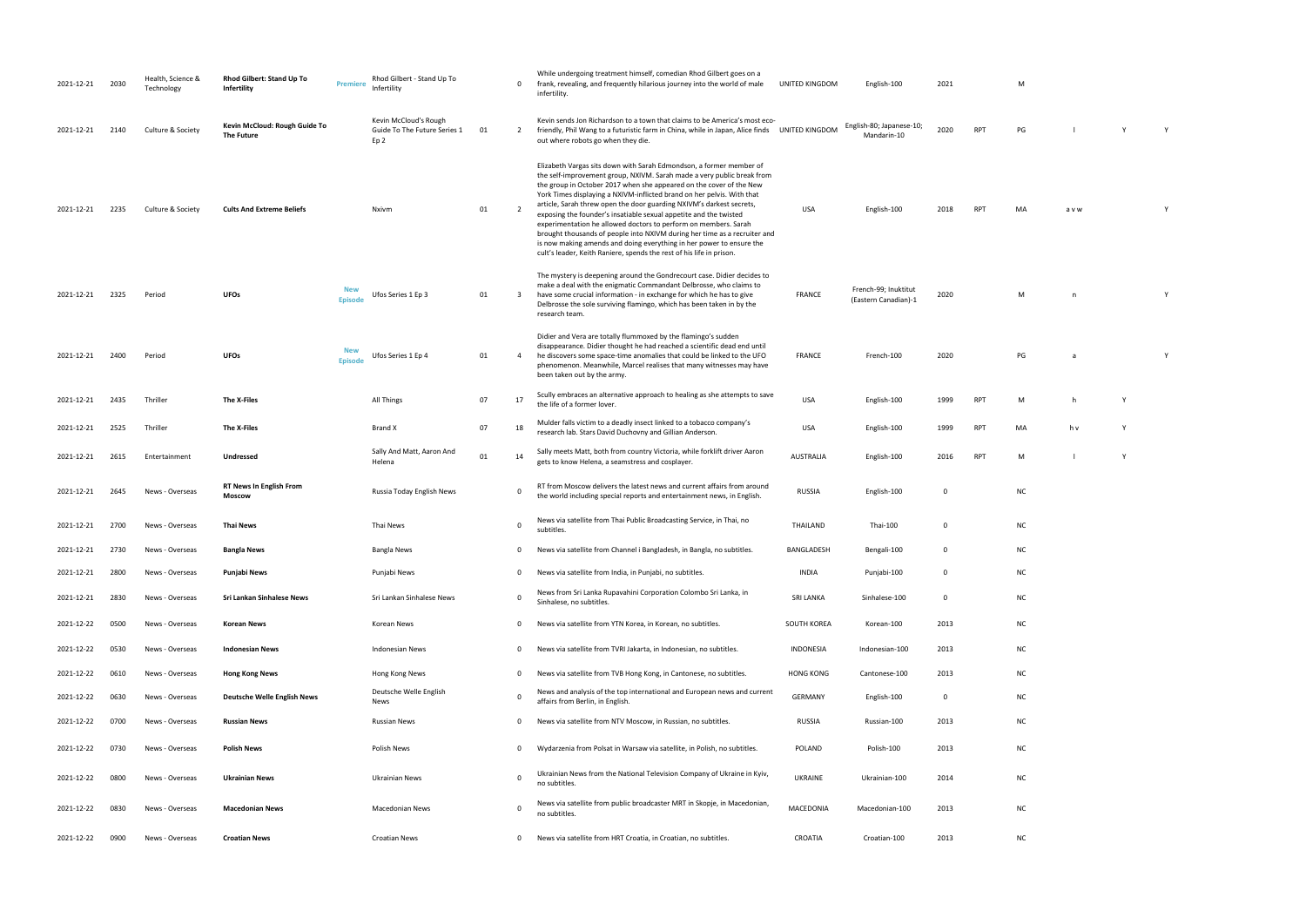| French-99; Inuktitut<br>(Eastern Canadian)-1 | 2020 | M |  |
|----------------------------------------------|------|---|--|
|                                              |      |   |  |

| PG | a | Υ |
|----|---|---|
|    |   |   |

| M  | h   | Υ |
|----|-----|---|
| MA | h v | Υ |

| NC |  |  |  |
|----|--|--|--|
|    |  |  |  |

| NC |  |  |  |
|----|--|--|--|
|    |  |  |  |

| 2021-12-21 | 2030 | Health, Science &<br>Technology | Rhod Gilbert: Stand Up To<br>Infertility    | Premiere              | Rhod Gilbert - Stand Up To<br>Infertility                     |    | $\mathbf{0}$   | While undergoing treatment himself, comedian Rhod Gilbert goes on a<br>frank, revealing, and frequently hilarious journey into the world of male<br>infertility.                                                                                                                                                                                                                                                                                                                                                                                                                                                                                                                                                                            | UNITED KINGDOM   | English-100                                  | 2021        |            | M         |       |   |   |
|------------|------|---------------------------------|---------------------------------------------|-----------------------|---------------------------------------------------------------|----|----------------|---------------------------------------------------------------------------------------------------------------------------------------------------------------------------------------------------------------------------------------------------------------------------------------------------------------------------------------------------------------------------------------------------------------------------------------------------------------------------------------------------------------------------------------------------------------------------------------------------------------------------------------------------------------------------------------------------------------------------------------------|------------------|----------------------------------------------|-------------|------------|-----------|-------|---|---|
| 2021-12-21 | 2140 | Culture & Society               | Kevin McCloud: Rough Guide To<br>The Future |                       | Kevin McCloud's Rough<br>Guide To The Future Series 1<br>Ep 2 | 01 | 2              | Kevin sends Jon Richardson to a town that claims to be America's most eco-<br>friendly, Phil Wang to a futuristic farm in China, while in Japan, Alice finds UNITED KINGDOM<br>out where robots go when they die.                                                                                                                                                                                                                                                                                                                                                                                                                                                                                                                           |                  | English-80; Japanese-10;<br>Mandarin-10      | 2020        | <b>RPT</b> | PG        |       |   | Y |
| 2021-12-21 | 2235 | Culture & Society               | <b>Cults And Extreme Beliefs</b>            |                       | Nxivm                                                         | 01 | $\overline{2}$ | Elizabeth Vargas sits down with Sarah Edmondson, a former member of<br>the self-improvement group, NXIVM. Sarah made a very public break from<br>the group in October 2017 when she appeared on the cover of the New<br>York Times displaying a NXIVM-inflicted brand on her pelvis. With that<br>article, Sarah threw open the door guarding NXIVM's darkest secrets,<br>exposing the founder's insatiable sexual appetite and the twisted<br>experimentation he allowed doctors to perform on members. Sarah<br>brought thousands of people into NXIVM during her time as a recruiter and<br>is now making amends and doing everything in her power to ensure the<br>cult's leader, Keith Raniere, spends the rest of his life in prison. | USA              | English-100                                  | 2018        | <b>RPT</b> | MA        | a v w |   |   |
| 2021-12-21 | 2325 | Period                          | <b>UFOs</b>                                 | <b>New</b><br>Episode | Ufos Series 1 Ep 3                                            | 01 | 3              | The mystery is deepening around the Gondrecourt case. Didier decides to<br>make a deal with the enigmatic Commandant Delbrosse, who claims to<br>have some crucial information - in exchange for which he has to give<br>Delbrosse the sole surviving flamingo, which has been taken in by the<br>research team.                                                                                                                                                                                                                                                                                                                                                                                                                            | <b>FRANCE</b>    | French-99; Inuktitut<br>(Eastern Canadian)-1 | 2020        |            | M         | n.    |   | Y |
| 2021-12-21 | 2400 | Period                          | <b>UFOs</b>                                 | <b>New</b><br>Episode | Ufos Series 1 Ep 4                                            | 01 | 4              | Didier and Vera are totally flummoxed by the flamingo's sudden<br>disappearance. Didier thought he had reached a scientific dead end until<br>he discovers some space-time anomalies that could be linked to the UFO<br>phenomenon. Meanwhile, Marcel realises that many witnesses may have<br>been taken out by the army.                                                                                                                                                                                                                                                                                                                                                                                                                  | <b>FRANCE</b>    | French-100                                   | 2020        |            | PG        |       |   |   |
| 2021-12-21 | 2435 | Thriller                        | The X-Files                                 |                       | All Things                                                    | 07 | 17             | Scully embraces an alternative approach to healing as she attempts to save<br>the life of a former lover.                                                                                                                                                                                                                                                                                                                                                                                                                                                                                                                                                                                                                                   | USA              | English-100                                  | 1999        | <b>RPT</b> | M         | h     | Y |   |
| 2021-12-21 | 2525 | Thriller                        | The X-Files                                 |                       | <b>Brand X</b>                                                | 07 | 18             | Mulder falls victim to a deadly insect linked to a tobacco company's<br>research lab. Stars David Duchovny and Gillian Anderson.                                                                                                                                                                                                                                                                                                                                                                                                                                                                                                                                                                                                            | <b>USA</b>       | English-100                                  | 1999        | <b>RPT</b> | MA        | h v   | Y |   |
| 2021-12-21 | 2615 | Entertainment                   | Undressed                                   |                       | Sally And Matt, Aaron And<br>Helena                           | 01 | 14             | Sally meets Matt, both from country Victoria, while forklift driver Aaron<br>gets to know Helena, a seamstress and cosplayer.                                                                                                                                                                                                                                                                                                                                                                                                                                                                                                                                                                                                               | <b>AUSTRALIA</b> | English-100                                  | 2016        | <b>RPT</b> | M         |       | Y |   |
| 2021-12-21 | 2645 | News - Overseas                 | <b>RT News In English From</b><br>Moscow    |                       | Russia Today English News                                     |    | $\mathbf 0$    | RT from Moscow delivers the latest news and current affairs from around<br>the world including special reports and entertainment news, in English.                                                                                                                                                                                                                                                                                                                                                                                                                                                                                                                                                                                          | <b>RUSSIA</b>    | English-100                                  | $\Omega$    |            | NC        |       |   |   |
| 2021-12-21 | 2700 | News - Overseas                 | <b>Thai News</b>                            |                       | Thai News                                                     |    | $\mathbf 0$    | News via satellite from Thai Public Broadcasting Service, in Thai, no<br>subtitles.                                                                                                                                                                                                                                                                                                                                                                                                                                                                                                                                                                                                                                                         | THAILAND         | Thai-100                                     | $\mathbf 0$ |            | <b>NC</b> |       |   |   |
| 2021-12-21 | 2730 | News - Overseas                 | <b>Bangla News</b>                          |                       | <b>Bangla News</b>                                            |    | $\mathbf{0}$   | News via satellite from Channel i Bangladesh, in Bangla, no subtitles.                                                                                                                                                                                                                                                                                                                                                                                                                                                                                                                                                                                                                                                                      | BANGLADESH       | Bengali-100                                  | $\Omega$    |            | <b>NC</b> |       |   |   |
| 2021-12-21 | 2800 | News - Overseas                 | Punjabi News                                |                       | Punjabi News                                                  |    | 0              | News via satellite from India, in Punjabi, no subtitles.                                                                                                                                                                                                                                                                                                                                                                                                                                                                                                                                                                                                                                                                                    | <b>INDIA</b>     | Punjabi-100                                  | $\Omega$    |            | <b>NC</b> |       |   |   |
| 2021-12-21 | 2830 | News - Overseas                 | Sri Lankan Sinhalese News                   |                       | Sri Lankan Sinhalese News                                     |    | $\mathbf 0$    | News from Sri Lanka Rupavahini Corporation Colombo Sri Lanka, in<br>Sinhalese, no subtitles.                                                                                                                                                                                                                                                                                                                                                                                                                                                                                                                                                                                                                                                | <b>SRI LANKA</b> | Sinhalese-100                                | $\mathbf 0$ |            | <b>NC</b> |       |   |   |
| 2021-12-22 | 0500 | News - Overseas                 | <b>Korean News</b>                          |                       | Korean News                                                   |    | $\mathbf{0}$   | News via satellite from YTN Korea, in Korean, no subtitles.                                                                                                                                                                                                                                                                                                                                                                                                                                                                                                                                                                                                                                                                                 | SOUTH KOREA      | Korean-100                                   | 2013        |            | <b>NC</b> |       |   |   |
| 2021-12-22 | 0530 | News - Overseas                 | <b>Indonesian News</b>                      |                       | <b>Indonesian News</b>                                        |    | $\mathbf{0}$   | News via satellite from TVRI Jakarta, in Indonesian, no subtitles.                                                                                                                                                                                                                                                                                                                                                                                                                                                                                                                                                                                                                                                                          | INDONESIA        | Indonesian-100                               | 2013        |            | <b>NC</b> |       |   |   |
| 2021-12-22 | 0610 | News - Overseas                 | <b>Hong Kong News</b>                       |                       | Hong Kong News                                                |    | $\mathbf{0}$   | News via satellite from TVB Hong Kong, in Cantonese, no subtitles.                                                                                                                                                                                                                                                                                                                                                                                                                                                                                                                                                                                                                                                                          | <b>HONG KONG</b> | Cantonese-100                                | 2013        |            | <b>NC</b> |       |   |   |
| 2021-12-22 | 0630 | News - Overseas                 | <b>Deutsche Welle English News</b>          |                       | Deutsche Welle English<br>News                                |    | $\mathbf 0$    | News and analysis of the top international and European news and current<br>affairs from Berlin, in English.                                                                                                                                                                                                                                                                                                                                                                                                                                                                                                                                                                                                                                | <b>GERMANY</b>   | English-100                                  | $\mathbf 0$ |            | <b>NC</b> |       |   |   |
| 2021-12-22 | 0700 | News - Overseas                 | <b>Russian News</b>                         |                       | <b>Russian News</b>                                           |    | $\mathbf{0}$   | News via satellite from NTV Moscow, in Russian, no subtitles.                                                                                                                                                                                                                                                                                                                                                                                                                                                                                                                                                                                                                                                                               | RUSSIA           | Russian-100                                  | 2013        |            | <b>NC</b> |       |   |   |
| 2021-12-22 | 0730 | News - Overseas                 | <b>Polish News</b>                          |                       | Polish News                                                   |    | $\mathbf{0}$   | Wydarzenia from Polsat in Warsaw via satellite, in Polish, no subtitles.                                                                                                                                                                                                                                                                                                                                                                                                                                                                                                                                                                                                                                                                    | POLAND           | Polish-100                                   | 2013        |            | <b>NC</b> |       |   |   |
| 2021-12-22 | 0800 | News - Overseas                 | <b>Ukrainian News</b>                       |                       | Ukrainian News                                                |    | $\mathbf 0$    | Ukrainian News from the National Television Company of Ukraine in Kyiv,<br>no subtitles.                                                                                                                                                                                                                                                                                                                                                                                                                                                                                                                                                                                                                                                    | UKRAINE          | Ukrainian-100                                | 2014        |            | <b>NC</b> |       |   |   |
| 2021-12-22 | 0830 | News - Overseas                 | <b>Macedonian News</b>                      |                       | <b>Macedonian News</b>                                        |    | 0              | News via satellite from public broadcaster MRT in Skopje, in Macedonian,<br>no subtitles.                                                                                                                                                                                                                                                                                                                                                                                                                                                                                                                                                                                                                                                   | MACEDONIA        | Macedonian-100                               | 2013        |            | <b>NC</b> |       |   |   |
| 2021-12-22 | 0900 | News - Overseas                 | <b>Croatian News</b>                        |                       | <b>Croatian News</b>                                          |    | $\mathbf{0}$   | News via satellite from HRT Croatia, in Croatian, no subtitles.                                                                                                                                                                                                                                                                                                                                                                                                                                                                                                                                                                                                                                                                             | CROATIA          | Croatian-100                                 | 2013        |            | <b>NC</b> |       |   |   |

| M |  |  |  |
|---|--|--|--|
|   |  |  |  |

| PG | $\mathsf{v}$ | Y |
|----|--------------|---|
|    |              |   |

| МA | a v w | Υ |
|----|-------|---|
|    |       |   |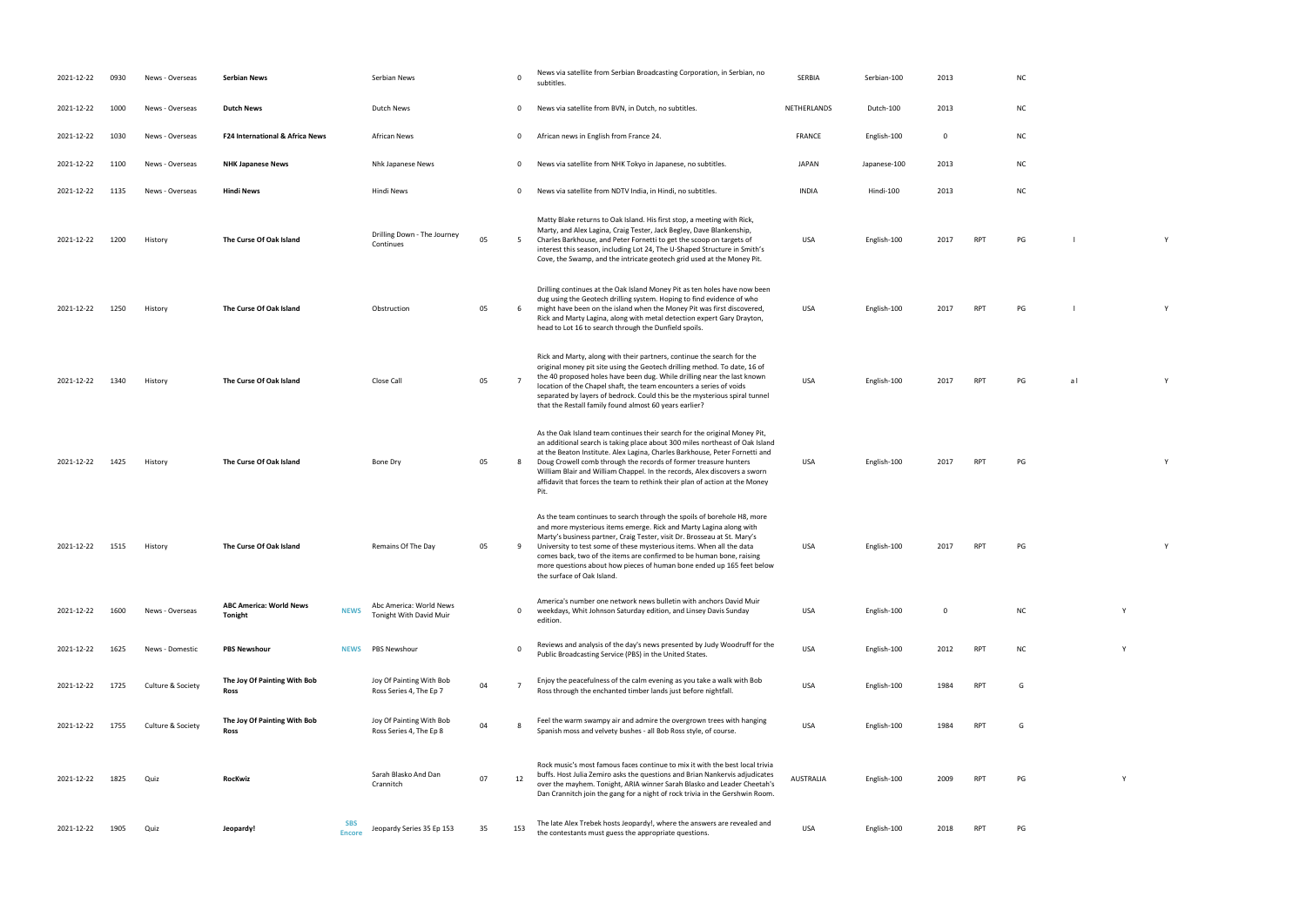| 2021-12-22 | 0930 | News - Overseas   | <b>Serbian News</b>                       |                             | Serbian News                                        |    | $\mathbf 0$    | News via satellite from Serbian Broadcasting Corporation, in Serbian, no<br>subtitles.                                                                                                                                                                                                                                                                                                                                                                                           | SERBIA           | Serbian-100  | 2013        |            | <b>NC</b> |     |
|------------|------|-------------------|-------------------------------------------|-----------------------------|-----------------------------------------------------|----|----------------|----------------------------------------------------------------------------------------------------------------------------------------------------------------------------------------------------------------------------------------------------------------------------------------------------------------------------------------------------------------------------------------------------------------------------------------------------------------------------------|------------------|--------------|-------------|------------|-----------|-----|
| 2021-12-22 | 1000 | News - Overseas   | <b>Dutch News</b>                         |                             | Dutch News                                          |    | 0              | News via satellite from BVN, in Dutch, no subtitles.                                                                                                                                                                                                                                                                                                                                                                                                                             | NETHERLANDS      | Dutch-100    | 2013        |            | <b>NC</b> |     |
| 2021-12-22 | 1030 | News - Overseas   | F24 International & Africa News           |                             | African News                                        |    | 0              | African news in English from France 24.                                                                                                                                                                                                                                                                                                                                                                                                                                          | <b>FRANCE</b>    | English-100  | $\mathbf 0$ |            | <b>NC</b> |     |
| 2021-12-22 | 1100 | News - Overseas   | <b>NHK Japanese News</b>                  |                             | Nhk Japanese News                                   |    | 0              | News via satellite from NHK Tokyo in Japanese, no subtitles.                                                                                                                                                                                                                                                                                                                                                                                                                     | <b>JAPAN</b>     | Japanese-100 | 2013        |            | <b>NC</b> |     |
| 2021-12-22 | 1135 | News - Overseas   | <b>Hindi News</b>                         |                             | Hindi News                                          |    | 0              | News via satellite from NDTV India, in Hindi, no subtitles.                                                                                                                                                                                                                                                                                                                                                                                                                      | <b>INDIA</b>     | Hindi-100    | 2013        |            | <b>NC</b> |     |
| 2021-12-22 | 1200 | History           | The Curse Of Oak Island                   |                             | Drilling Down - The Journey<br>Continues            | 05 | 5              | Matty Blake returns to Oak Island. His first stop, a meeting with Rick,<br>Marty, and Alex Lagina, Craig Tester, Jack Begley, Dave Blankenship,<br>Charles Barkhouse, and Peter Fornetti to get the scoop on targets of<br>interest this season, including Lot 24, The U-Shaped Structure in Smith's<br>Cove, the Swamp, and the intricate geotech grid used at the Money Pit.                                                                                                   | USA              | English-100  | 2017        | <b>RPT</b> | PG        |     |
| 2021-12-22 | 1250 | History           | The Curse Of Oak Island                   |                             | Obstruction                                         | 05 | 6              | Drilling continues at the Oak Island Money Pit as ten holes have now been<br>dug using the Geotech drilling system. Hoping to find evidence of who<br>might have been on the island when the Money Pit was first discovered,<br>Rick and Marty Lagina, along with metal detection expert Gary Drayton,<br>head to Lot 16 to search through the Dunfield spoils.                                                                                                                  | USA              | English-100  | 2017        | <b>RPT</b> | PG        |     |
| 2021-12-22 | 1340 | History           | The Curse Of Oak Island                   |                             | Close Call                                          | 05 | $\overline{7}$ | Rick and Marty, along with their partners, continue the search for the<br>original money pit site using the Geotech drilling method. To date, 16 of<br>the 40 proposed holes have been dug. While drilling near the last known<br>location of the Chapel shaft, the team encounters a series of voids<br>separated by layers of bedrock. Could this be the mysterious spiral tunnel<br>that the Restall family found almost 60 years earlier?                                    | USA              | English-100  | 2017        | <b>RPT</b> | PG        | a l |
| 2021-12-22 | 1425 | History           | The Curse Of Oak Island                   |                             | Bone Dry                                            | 05 | 8              | As the Oak Island team continues their search for the original Money Pit,<br>an additional search is taking place about 300 miles northeast of Oak Island<br>at the Beaton Institute. Alex Lagina, Charles Barkhouse, Peter Fornetti and<br>Doug Crowell comb through the records of former treasure hunters<br>William Blair and William Chappel. In the records, Alex discovers a sworn<br>affidavit that forces the team to rethink their plan of action at the Money<br>Pit. | USA              | English-100  | 2017        | <b>RPT</b> | PG        |     |
| 2021-12-22 | 1515 | History           | The Curse Of Oak Island                   |                             | Remains Of The Day                                  | 05 | 9              | As the team continues to search through the spoils of borehole H8, more<br>and more mysterious items emerge. Rick and Marty Lagina along with<br>Marty's business partner, Craig Tester, visit Dr. Brosseau at St. Mary's<br>University to test some of these mysterious items. When all the data<br>comes back, two of the items are confirmed to be human bone, raising<br>more questions about how pieces of human bone ended up 165 feet below<br>the surface of Oak Island. | USA              | English-100  | 2017        | <b>RPT</b> | PG        |     |
| 2021-12-22 | 1600 | News - Overseas   | <b>ABC America: World News</b><br>Tonight | <b>NEWS</b>                 | Abc America: World News<br>Tonight With David Muir  |    | 0              | America's number one network news bulletin with anchors David Muir<br>weekdays, Whit Johnson Saturday edition, and Linsey Davis Sunday<br>edition.                                                                                                                                                                                                                                                                                                                               | USA              | English-100  | $\mathbf 0$ |            | <b>NC</b> |     |
| 2021-12-22 | 1625 | News - Domestic   | <b>PBS Newshour</b>                       | <b>NEWS</b>                 | <b>PBS Newshour</b>                                 |    | $\mathbf 0$    | Reviews and analysis of the day's news presented by Judy Woodruff for the<br>Public Broadcasting Service (PBS) in the United States.                                                                                                                                                                                                                                                                                                                                             | USA              | English-100  | 2012        | <b>RPT</b> | <b>NC</b> |     |
| 2021-12-22 | 1725 | Culture & Society | The Joy Of Painting With Bob<br>Ross      |                             | Joy Of Painting With Bob<br>Ross Series 4, The Ep 7 | 04 | $\overline{7}$ | Enjoy the peacefulness of the calm evening as you take a walk with Bob<br>Ross through the enchanted timber lands just before nightfall.                                                                                                                                                                                                                                                                                                                                         | USA              | English-100  | 1984        | <b>RPT</b> | G         |     |
| 2021-12-22 | 1755 | Culture & Society | The Joy Of Painting With Bob<br>Ross      |                             | Joy Of Painting With Bob<br>Ross Series 4, The Ep 8 | 04 | 8              | Feel the warm swampy air and admire the overgrown trees with hanging<br>Spanish moss and velvety bushes - all Bob Ross style, of course.                                                                                                                                                                                                                                                                                                                                         | USA              | English-100  | 1984        | <b>RPT</b> | G         |     |
| 2021-12-22 | 1825 | Quiz              | RocKwiz                                   |                             | Sarah Blasko And Dan<br>Crannitch                   | 07 | 12             | Rock music's most famous faces continue to mix it with the best local trivia<br>buffs. Host Julia Zemiro asks the questions and Brian Nankervis adjudicates<br>over the mayhem. Tonight, ARIA winner Sarah Blasko and Leader Cheetah's<br>Dan Crannitch join the gang for a night of rock trivia in the Gershwin Room.                                                                                                                                                           | <b>AUSTRALIA</b> | English-100  | 2009        | <b>RPT</b> | PG        |     |
| 2021-12-22 | 1905 | Quiz              | Jeopardy!                                 | <b>SBS</b><br><b>Encore</b> | Jeopardy Series 35 Ep 153                           | 35 | 153            | The late Alex Trebek hosts Jeopardy!, where the answers are revealed and<br>the contestants must guess the appropriate questions.                                                                                                                                                                                                                                                                                                                                                | <b>USA</b>       | English-100  | 2018        | <b>RPT</b> | PG        |     |

- 
- 
- 
- 
- PHT PG l Y
- PO 2017 RPT PG l Y
	-
- RPT PG al Y
	-
- RPT PG Y
	-
- RPT PG Y
- NC Y
	-
	-
	-
- RPT PG Y
	-
- 
- 
- 
- 
- 
- 
- 
- 
- 
- 
-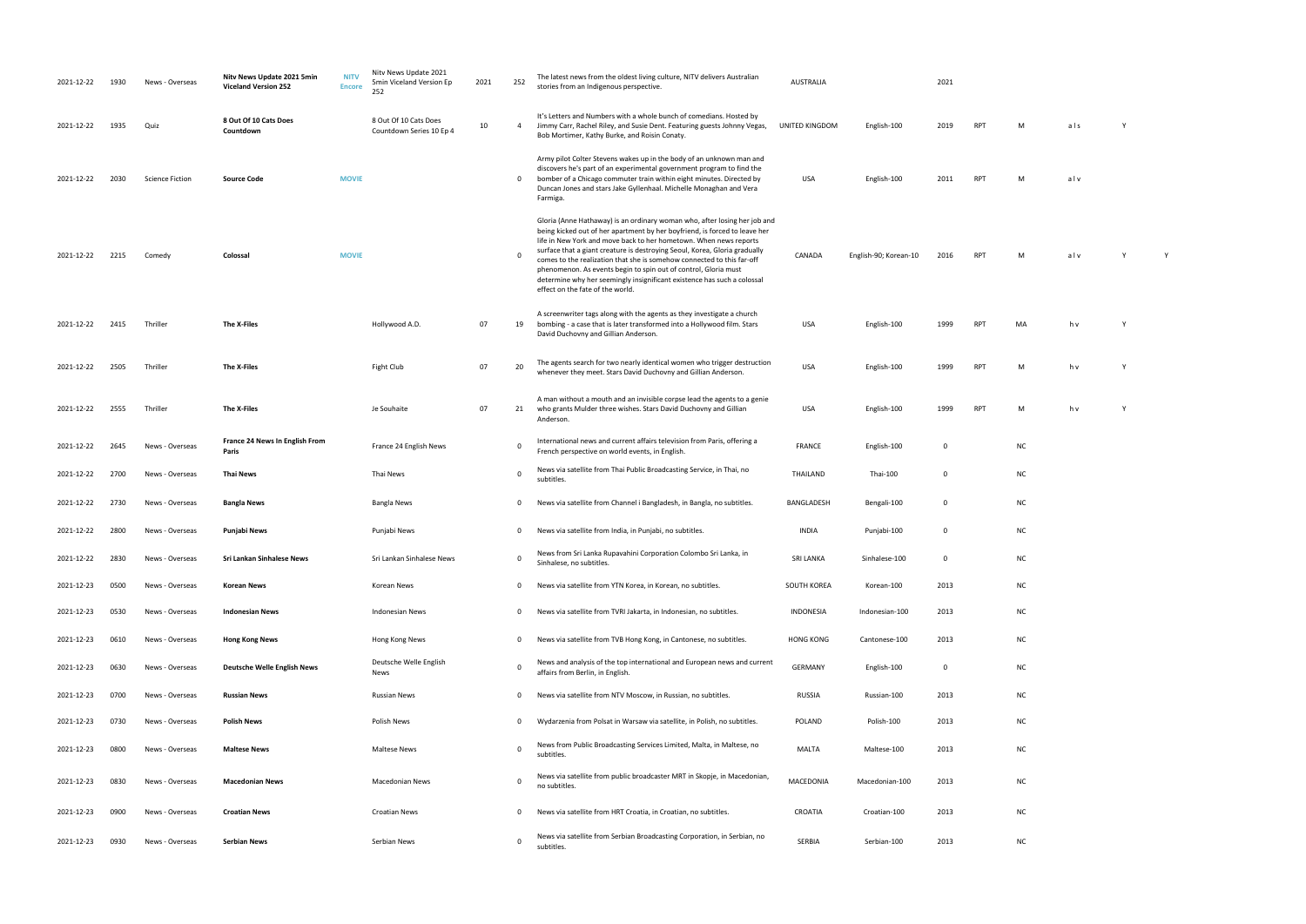| English-90; Korean-10 2016 | <b>RPT</b> | M | alv | Y | Y |
|----------------------------|------------|---|-----|---|---|

| ИA | h v | Υ |
|----|-----|---|

| M | h v | Υ |
|---|-----|---|
|   |     |   |

| M | h v | Y |
|---|-----|---|
|   |     |   |

| ΝC |  |  |  |
|----|--|--|--|
|    |  |  |  |

| NC |  |  |  |
|----|--|--|--|
|    |  |  |  |

| 2021-12-22 | 1930 | News - Overseas        | Nitv News Update 2021 5min<br><b>Viceland Version 252</b> | <b>NITV</b><br><b>Encore</b> | Nitv News Update 2021<br>5min Viceland Version Ep<br>252 | 2021 | 252          | The latest news from the oldest living culture, NITV delivers Australian<br>stories from an Indigenous perspective.                                                                                                                                                                                                                                                                                                                                                                                                                                                    | <b>AUSTRALIA</b> |                       | 2021        |            |           |     |   |
|------------|------|------------------------|-----------------------------------------------------------|------------------------------|----------------------------------------------------------|------|--------------|------------------------------------------------------------------------------------------------------------------------------------------------------------------------------------------------------------------------------------------------------------------------------------------------------------------------------------------------------------------------------------------------------------------------------------------------------------------------------------------------------------------------------------------------------------------------|------------------|-----------------------|-------------|------------|-----------|-----|---|
| 2021-12-22 | 1935 | Quiz                   | 8 Out Of 10 Cats Does<br>Countdown                        |                              | 8 Out Of 10 Cats Does<br>Countdown Series 10 Ep 4        | 10   | 4            | It's Letters and Numbers with a whole bunch of comedians. Hosted by<br>Jimmy Carr, Rachel Riley, and Susie Dent. Featuring guests Johnny Vegas,<br>Bob Mortimer, Kathy Burke, and Roisin Conaty.                                                                                                                                                                                                                                                                                                                                                                       | UNITED KINGDOM   | English-100           | 2019        | <b>RPT</b> | M         | als | Y |
| 2021-12-22 | 2030 | <b>Science Fiction</b> | <b>Source Code</b>                                        | <b>MOVIE</b>                 |                                                          |      | $\mathbf 0$  | Army pilot Colter Stevens wakes up in the body of an unknown man and<br>discovers he's part of an experimental government program to find the<br>bomber of a Chicago commuter train within eight minutes. Directed by<br>Duncan Jones and stars Jake Gyllenhaal. Michelle Monaghan and Vera<br>Farmiga.                                                                                                                                                                                                                                                                | <b>USA</b>       | English-100           | 2011        | <b>RPT</b> | M         | alv |   |
| 2021-12-22 | 2215 | Comedy                 | Colossal                                                  | <b>MOVIE</b>                 |                                                          |      | $\Omega$     | Gloria (Anne Hathaway) is an ordinary woman who, after losing her job and<br>being kicked out of her apartment by her boyfriend, is forced to leave her<br>life in New York and move back to her hometown. When news reports<br>surface that a giant creature is destroying Seoul, Korea, Gloria gradually<br>comes to the realization that she is somehow connected to this far-off<br>phenomenon. As events begin to spin out of control, Gloria must<br>determine why her seemingly insignificant existence has such a colossal<br>effect on the fate of the world. | CANADA           | English-90; Korean-10 | 2016        | RPT        | M         | alv | Y |
| 2021-12-22 | 2415 | Thriller               | The X-Files                                               |                              | Hollywood A.D.                                           | 07   | 19           | A screenwriter tags along with the agents as they investigate a church<br>bombing - a case that is later transformed into a Hollywood film. Stars<br>David Duchovny and Gillian Anderson.                                                                                                                                                                                                                                                                                                                                                                              | <b>USA</b>       | English-100           | 1999        | <b>RPT</b> | MA        | h v | Y |
| 2021-12-22 | 2505 | Thriller               | The X-Files                                               |                              | Fight Club                                               | 07   | 20           | The agents search for two nearly identical women who trigger destruction<br>whenever they meet. Stars David Duchovny and Gillian Anderson.                                                                                                                                                                                                                                                                                                                                                                                                                             | <b>USA</b>       | English-100           | 1999        | <b>RPT</b> | М         | h v | Y |
| 2021-12-22 | 2555 | Thriller               | The X-Files                                               |                              | Je Souhaite                                              | 07   | 21           | A man without a mouth and an invisible corpse lead the agents to a genie<br>who grants Mulder three wishes. Stars David Duchovny and Gillian<br>Anderson.                                                                                                                                                                                                                                                                                                                                                                                                              | USA              | English-100           | 1999        | <b>RPT</b> | M         | h v | Y |
| 2021-12-22 | 2645 | News - Overseas        | France 24 News In English From<br>Paris                   |                              | France 24 English News                                   |      | $\Omega$     | International news and current affairs television from Paris, offering a<br>French perspective on world events, in English.                                                                                                                                                                                                                                                                                                                                                                                                                                            | FRANCE           | English-100           | $\mathbf 0$ |            | <b>NC</b> |     |   |
| 2021-12-22 | 2700 | News - Overseas        | Thai News                                                 |                              | Thai News                                                |      | $\Omega$     | News via satellite from Thai Public Broadcasting Service, in Thai, no<br>subtitles.                                                                                                                                                                                                                                                                                                                                                                                                                                                                                    | THAILAND         | Thai-100              | $\mathbf 0$ |            | <b>NC</b> |     |   |
| 2021-12-22 | 2730 | News - Overseas        | <b>Bangla News</b>                                        |                              | <b>Bangla News</b>                                       |      | $\mathbf 0$  | News via satellite from Channel i Bangladesh, in Bangla, no subtitles.                                                                                                                                                                                                                                                                                                                                                                                                                                                                                                 | BANGLADESH       | Bengali-100           | $\mathbf 0$ |            | <b>NC</b> |     |   |
| 2021-12-22 | 2800 | News - Overseas        | Punjabi News                                              |                              | Punjabi News                                             |      | $\mathbf{0}$ | News via satellite from India, in Punjabi, no subtitles.                                                                                                                                                                                                                                                                                                                                                                                                                                                                                                               | <b>INDIA</b>     | Punjabi-100           | $\mathbf 0$ |            | <b>NC</b> |     |   |
| 2021-12-22 | 2830 | News - Overseas        | Sri Lankan Sinhalese News                                 |                              | Sri Lankan Sinhalese News                                |      | $\Omega$     | News from Sri Lanka Rupavahini Corporation Colombo Sri Lanka, in<br>Sinhalese, no subtitles.                                                                                                                                                                                                                                                                                                                                                                                                                                                                           | SRI LANKA        | Sinhalese-100         |             |            | NC        |     |   |
| 2021-12-23 | 0500 | News - Overseas        | <b>Korean News</b>                                        |                              | Korean News                                              |      | $\mathbf{0}$ | News via satellite from YTN Korea, in Korean, no subtitles.                                                                                                                                                                                                                                                                                                                                                                                                                                                                                                            | SOUTH KOREA      | Korean-100            | 2013        |            | <b>NC</b> |     |   |
| 2021-12-23 | 0530 | News - Overseas        | <b>Indonesian News</b>                                    |                              | <b>Indonesian News</b>                                   |      | $\mathbf{0}$ | News via satellite from TVRI Jakarta, in Indonesian, no subtitles.                                                                                                                                                                                                                                                                                                                                                                                                                                                                                                     | INDONESIA        | Indonesian-100        | 2013        |            | <b>NC</b> |     |   |
| 2021-12-23 | 0610 | News - Overseas        | <b>Hong Kong News</b>                                     |                              | Hong Kong News                                           |      | $\mathbf{0}$ | News via satellite from TVB Hong Kong, in Cantonese, no subtitles.                                                                                                                                                                                                                                                                                                                                                                                                                                                                                                     | <b>HONG KONG</b> | Cantonese-100         | 2013        |            | <b>NC</b> |     |   |
| 2021-12-23 | 0630 | News - Overseas        | <b>Deutsche Welle English News</b>                        |                              | Deutsche Welle English<br>News                           |      | $\Omega$     | News and analysis of the top international and European news and current<br>affairs from Berlin, in English.                                                                                                                                                                                                                                                                                                                                                                                                                                                           | <b>GERMANY</b>   | English-100           | $\mathbf 0$ |            | <b>NC</b> |     |   |
| 2021-12-23 | 0700 | News - Overseas        | <b>Russian News</b>                                       |                              | <b>Russian News</b>                                      |      | $\mathbf{0}$ | News via satellite from NTV Moscow, in Russian, no subtitles.                                                                                                                                                                                                                                                                                                                                                                                                                                                                                                          | RUSSIA           | Russian-100           | 2013        |            | <b>NC</b> |     |   |
| 2021-12-23 | 0730 | News - Overseas        | <b>Polish News</b>                                        |                              | Polish News                                              |      | $\mathbf 0$  | Wydarzenia from Polsat in Warsaw via satellite, in Polish, no subtitles.                                                                                                                                                                                                                                                                                                                                                                                                                                                                                               | <b>POLAND</b>    | Polish-100            | 2013        |            | <b>NC</b> |     |   |
| 2021-12-23 | 0800 | News - Overseas        | <b>Maltese News</b>                                       |                              | <b>Maltese News</b>                                      |      | $\mathbf 0$  | News from Public Broadcasting Services Limited, Malta, in Maltese, no<br>subtitles.                                                                                                                                                                                                                                                                                                                                                                                                                                                                                    | MALTA            | Maltese-100           | 2013        |            | <b>NC</b> |     |   |
| 2021-12-23 | 0830 | News - Overseas        | <b>Macedonian News</b>                                    |                              | Macedonian News                                          |      | $\Omega$     | News via satellite from public broadcaster MRT in Skopje, in Macedonian,<br>no subtitles.                                                                                                                                                                                                                                                                                                                                                                                                                                                                              | MACEDONIA        | Macedonian-100        | 2013        |            | <b>NC</b> |     |   |
| 2021-12-23 | 0900 | News - Overseas        | <b>Croatian News</b>                                      |                              | <b>Croatian News</b>                                     |      | $\mathbf{0}$ | News via satellite from HRT Croatia, in Croatian, no subtitles.                                                                                                                                                                                                                                                                                                                                                                                                                                                                                                        | CROATIA          | Croatian-100          | 2013        |            | <b>NC</b> |     |   |
| 2021-12-23 | 0930 | News - Overseas        | Serbian News                                              |                              | Serbian News                                             |      | $\mathbf 0$  | News via satellite from Serbian Broadcasting Corporation, in Serbian, no<br>subtitles.                                                                                                                                                                                                                                                                                                                                                                                                                                                                                 | SERBIA           | Serbian-100           | 2013        |            | <b>NC</b> |     |   |

| M | als | Υ |
|---|-----|---|
| M | alv |   |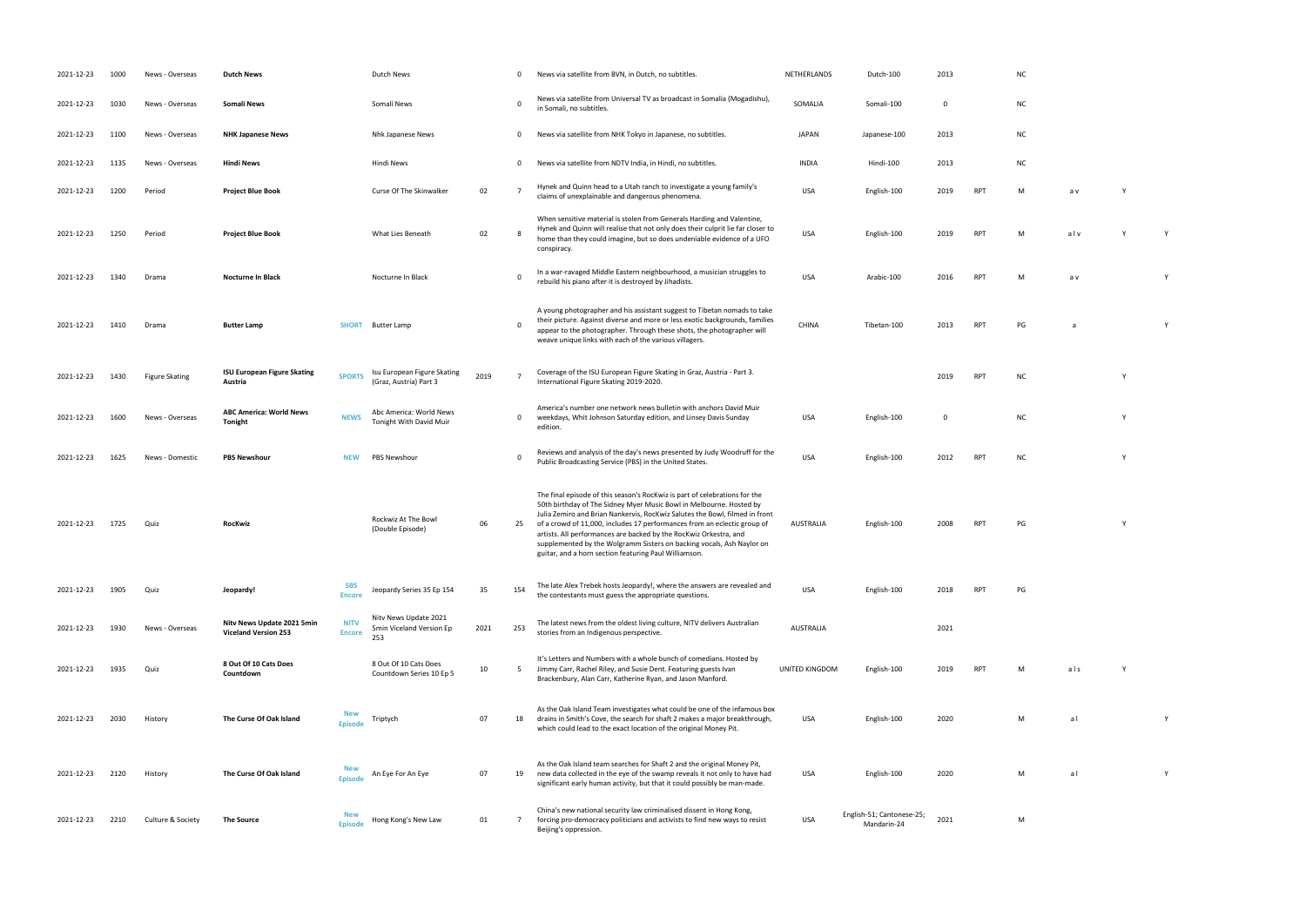- in Somali, no subtitudinary subtitudinary subtitudinary subtitudinary subsequents. Some  $\overline{100}$ 
	-
	-
- claims of unexplanable and dangerous phenomena. USA English-100 2019 RPT M a v Y V V V V V V V V V V V V V V V
- RPT M alv Y Y
- republicans it is destroyed by Jihadists. USA Arabic-100 2016 PM a v Yihadists. USA Arabic-100 2016 RPT M a v <br>Taxonomia
- RPT PG a Y
	-
- INTERPT INTERNATIONAL PRESERVE SKATING 2019-2020. 2019-2020. 2019-2020. 2019-2020. 2019-2020. 2019-2020. 2019
- USA English-100 0 NC Y
- PUBLIC BROADCASTING STATES. USA ENGLISH-100 2012 RPT NC Y
- RPT PG Y
	-
	-
	-
	- UNITED Main Andrew Main Service Structure Service Structure Structure Structure Structure Structure Structure<br>Structure Structure Structure Structure Structure Structure Structure Structure Structure Structure Structure<br>St
		- USA English-100 2020 M a l Y
		-
		- USA English-100 2020 M a l Y
		-
- 
- 
- 
- 
- 
- 
- 
- 
- 
- -
	-

| 2021-12-23 | 1000 | News - Overseas       | <b>Dutch News</b>                                         |                              | <b>Dutch News</b>                                        |      | 0           | News via satellite from BVN, in Dutch, no subtitles.                                                                                                                                                                                                                                                                                                                                                                                                                                                                | NETHERLANDS      | Dutch-100                                | 2013        |            | N0             |
|------------|------|-----------------------|-----------------------------------------------------------|------------------------------|----------------------------------------------------------|------|-------------|---------------------------------------------------------------------------------------------------------------------------------------------------------------------------------------------------------------------------------------------------------------------------------------------------------------------------------------------------------------------------------------------------------------------------------------------------------------------------------------------------------------------|------------------|------------------------------------------|-------------|------------|----------------|
| 2021-12-23 | 1030 | News - Overseas       | <b>Somali News</b>                                        |                              | Somali News                                              |      | 0           | News via satellite from Universal TV as broadcast in Somalia (Mogadishu),<br>in Somali, no subtitles.                                                                                                                                                                                                                                                                                                                                                                                                               | SOMALIA          | Somali-100                               | $\mathbf 0$ |            | N0             |
| 2021-12-23 | 1100 | News - Overseas       | <b>NHK Japanese News</b>                                  |                              | Nhk Japanese News                                        |      | 0           | News via satellite from NHK Tokyo in Japanese, no subtitles.                                                                                                                                                                                                                                                                                                                                                                                                                                                        | <b>JAPAN</b>     | Japanese-100                             | 2013        |            | N0             |
| 2021-12-23 | 1135 | News - Overseas       | <b>Hindi News</b>                                         |                              | Hindi News                                               |      | 0           | News via satellite from NDTV India, in Hindi, no subtitles.                                                                                                                                                                                                                                                                                                                                                                                                                                                         | <b>INDIA</b>     | Hindi-100                                | 2013        |            | N0             |
| 2021-12-23 | 1200 | Period                | <b>Project Blue Book</b>                                  |                              | Curse Of The Skinwalker                                  | 02   |             | Hynek and Quinn head to a Utah ranch to investigate a young family's<br>claims of unexplainable and dangerous phenomena.                                                                                                                                                                                                                                                                                                                                                                                            | <b>USA</b>       | English-100                              | 2019        | <b>RPT</b> | M              |
| 2021-12-23 | 1250 | Period                | <b>Project Blue Book</b>                                  |                              | What Lies Beneath                                        | 02   |             | When sensitive material is stolen from Generals Harding and Valentine,<br>Hynek and Quinn will realise that not only does their culprit lie far closer to<br>home than they could imagine, but so does undeniable evidence of a UFO<br>conspiracy.                                                                                                                                                                                                                                                                  | <b>USA</b>       | English-100                              | 2019        | <b>RPT</b> | M              |
| 2021-12-23 | 1340 | Drama                 | <b>Nocturne In Black</b>                                  |                              | Nocturne In Black                                        |      | $\Omega$    | In a war-ravaged Middle Eastern neighbourhood, a musician struggles to<br>rebuild his piano after it is destroyed by Jihadists.                                                                                                                                                                                                                                                                                                                                                                                     | <b>USA</b>       | Arabic-100                               | 2016        | <b>RPT</b> | M              |
| 2021-12-23 | 1410 | Drama                 | <b>Butter Lamp</b>                                        | <b>SHORT</b>                 | <b>Butter Lamp</b>                                       |      | $\mathbf 0$ | A young photographer and his assistant suggest to Tibetan nomads to take<br>their picture. Against diverse and more or less exotic backgrounds, families<br>appear to the photographer. Through these shots, the photographer will<br>weave unique links with each of the various villagers.                                                                                                                                                                                                                        | <b>CHINA</b>     | Tibetan-100                              | 2013        | <b>RPT</b> | PG             |
| 2021-12-23 | 1430 | <b>Figure Skating</b> | <b>ISU European Figure Skating</b><br>Austria             | <b>SPORTS</b>                | Isu European Figure Skating<br>(Graz, Austria) Part 3    | 2019 |             | Coverage of the ISU European Figure Skating in Graz, Austria - Part 3.<br>International Figure Skating 2019-2020.                                                                                                                                                                                                                                                                                                                                                                                                   |                  |                                          | 2019        | <b>RPT</b> | N0             |
| 2021-12-23 | 1600 | News - Overseas       | <b>ABC America: World News</b><br>Tonight                 | <b>NEWS</b>                  | Abc America: World News<br>Tonight With David Muir       |      | 0           | America's number one network news bulletin with anchors David Muir<br>weekdays, Whit Johnson Saturday edition, and Linsey Davis Sunday<br>edition.                                                                                                                                                                                                                                                                                                                                                                  | <b>USA</b>       | English-100                              | $\mathbf 0$ |            | N <sub>C</sub> |
| 2021-12-23 | 1625 | News - Domestic       | <b>PBS Newshour</b>                                       | <b>NEW</b>                   | <b>PBS Newshour</b>                                      |      | 0           | Reviews and analysis of the day's news presented by Judy Woodruff for the<br>Public Broadcasting Service (PBS) in the United States.                                                                                                                                                                                                                                                                                                                                                                                | <b>USA</b>       | English-100                              | 2012        | <b>RPT</b> | N0             |
| 2021-12-23 | 1725 | Quiz                  | RocKwiz                                                   |                              | Rockwiz At The Bowl<br>(Double Episode)                  | 06   | 25          | The final episode of this season's RocKwiz is part of celebrations for the<br>50th birthday of The Sidney Myer Music Bowl in Melbourne. Hosted by<br>Julia Zemiro and Brian Nankervis, RocKwiz Salutes the Bowl, filmed in front<br>of a crowd of 11,000, includes 17 performances from an eclectic group of<br>artists. All performances are backed by the RocKwiz Orkestra, and<br>supplemented by the Wolgramm Sisters on backing vocals, Ash Naylor on<br>guitar, and a horn section featuring Paul Williamson. | <b>AUSTRALIA</b> | English-100                              | 2008        | RPT        | PG             |
| 2021-12-23 | 1905 | Quiz                  | Jeopardy!                                                 | <b>SBS</b><br><b>Encore</b>  | Jeopardy Series 35 Ep 154                                | 35   | 154         | The late Alex Trebek hosts Jeopardy!, where the answers are revealed and<br>the contestants must guess the appropriate questions.                                                                                                                                                                                                                                                                                                                                                                                   | <b>USA</b>       | English-100                              | 2018        | <b>RPT</b> | PG             |
| 2021-12-23 | 1930 | News - Overseas       | Nitv News Update 2021 5min<br><b>Viceland Version 253</b> | <b>NITV</b><br><b>Encore</b> | Nitv News Update 2021<br>5min Viceland Version Ep<br>253 | 2021 | 253         | The latest news from the oldest living culture, NITV delivers Australian<br>stories from an Indigenous perspective.                                                                                                                                                                                                                                                                                                                                                                                                 | <b>AUSTRALIA</b> |                                          | 2021        |            |                |
| 2021-12-23 | 1935 | Quiz                  | 8 Out Of 10 Cats Does<br>Countdown                        |                              | 8 Out Of 10 Cats Does<br>Countdown Series 10 Ep 5        | 10   | 5           | It's Letters and Numbers with a whole bunch of comedians. Hosted by<br>Jimmy Carr, Rachel Riley, and Susie Dent. Featuring guests Ivan<br>Brackenbury, Alan Carr, Katherine Ryan, and Jason Manford.                                                                                                                                                                                                                                                                                                                | UNITED KINGDOM   | English-100                              | 2019        | <b>RPT</b> |                |
| 2021-12-23 | 2030 | History               | The Curse Of Oak Island                                   | <b>New</b><br><b>Episode</b> | Triptych                                                 | 07   | 18          | As the Oak Island Team investigates what could be one of the infamous box<br>drains in Smith's Cove, the search for shaft 2 makes a major breakthrough,<br>which could lead to the exact location of the original Money Pit.                                                                                                                                                                                                                                                                                        | USA              | English-100                              | 2020        |            | м              |
| 2021-12-23 | 2120 | History               | The Curse Of Oak Island                                   | <b>New</b><br><b>Episode</b> | An Eye For An Eye                                        | 07   | 19          | As the Oak Island team searches for Shaft 2 and the original Money Pit,<br>new data collected in the eye of the swamp reveals it not only to have had<br>significant early human activity, but that it could possibly be man-made.                                                                                                                                                                                                                                                                                  | <b>USA</b>       | English-100                              | 2020        |            | М              |
| 2021-12-23 | 2210 | Culture & Society     | <b>The Source</b>                                         | <b>New</b><br><b>Episode</b> | Hong Kong's New Law                                      | 01   | 7           | China's new national security law criminalised dissent in Hong Kong,<br>forcing pro-democracy politicians and activists to find new ways to resist<br>Beijing's oppression.                                                                                                                                                                                                                                                                                                                                         | <b>USA</b>       | English-51; Cantonese-25;<br>Mandarin-24 | 2021        |            |                |

| <b>NC</b> |  |  |  |
|-----------|--|--|--|
|           |  |  |  |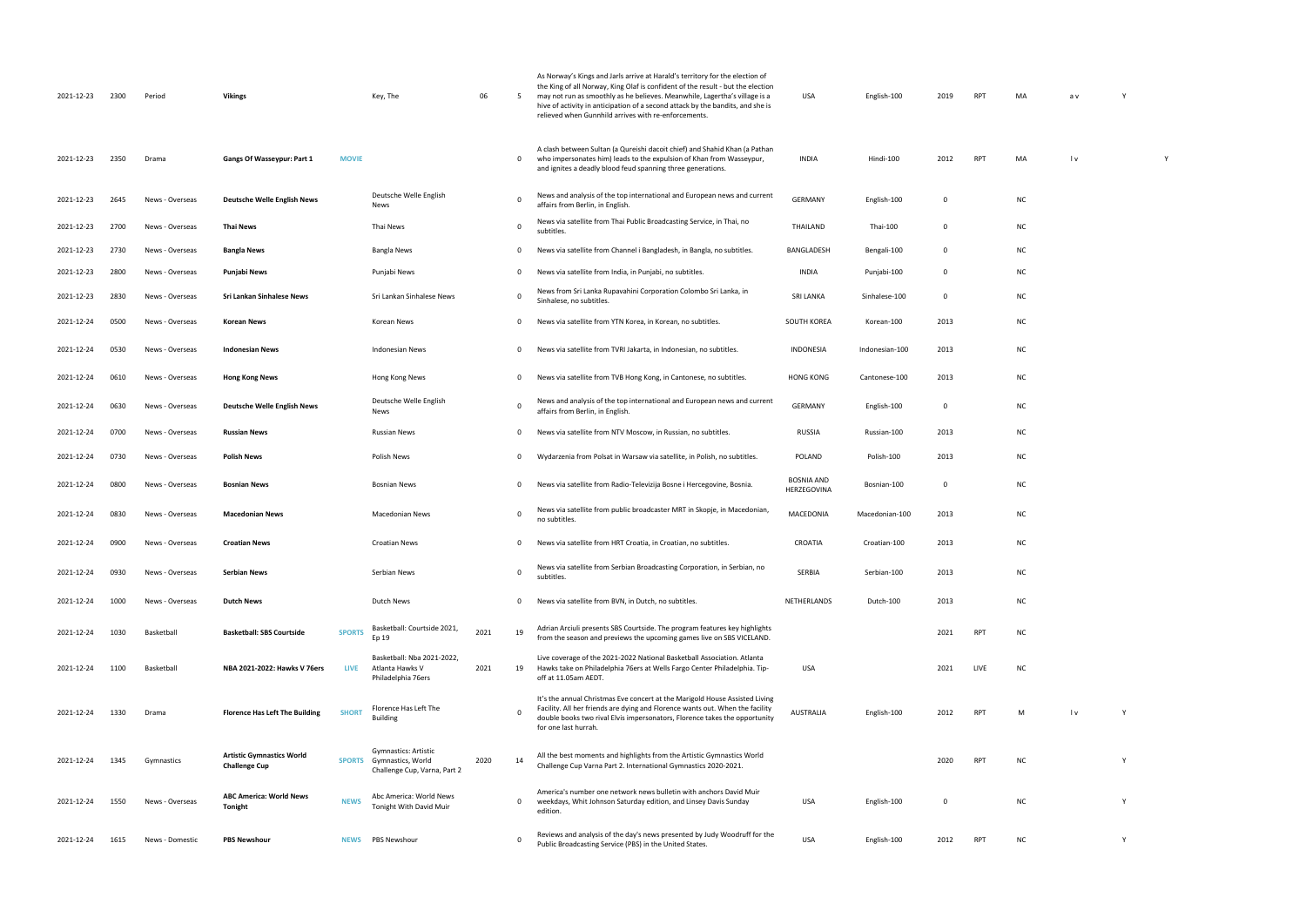| 2021-12-23 | 2300 | Period          | <b>Vikings</b>                                           |               | Key, The                                                                                       | 06   | -5          | As Norway's Kings and Jarls arrive at Harald's territory for the election of<br>the King of all Norway, King Olaf is confident of the result - but the election<br>may not run as smoothly as he believes. Meanwhile, Lagertha's village is a<br>hive of activity in anticipation of a second attack by the bandits, and she is<br>relieved when Gunnhild arrives with re-enforcements. | USA                              | English-100    | 2019        | <b>RPT</b> | MA        | a v |   |  |
|------------|------|-----------------|----------------------------------------------------------|---------------|------------------------------------------------------------------------------------------------|------|-------------|-----------------------------------------------------------------------------------------------------------------------------------------------------------------------------------------------------------------------------------------------------------------------------------------------------------------------------------------------------------------------------------------|----------------------------------|----------------|-------------|------------|-----------|-----|---|--|
| 2021-12-23 | 2350 | Drama           | Gangs Of Wasseypur: Part 1                               | <b>MOVIE</b>  |                                                                                                |      | 0           | A clash between Sultan (a Qureishi dacoit chief) and Shahid Khan (a Pathan<br>who impersonates him) leads to the expulsion of Khan from Wasseypur,<br>and ignites a deadly blood feud spanning three generations.                                                                                                                                                                       | <b>INDIA</b>                     | Hindi-100      | 2012        | <b>RPT</b> | MA        | l v |   |  |
| 2021-12-23 | 2645 | News - Overseas | <b>Deutsche Welle English News</b>                       |               | Deutsche Welle English<br>News                                                                 |      | 0           | News and analysis of the top international and European news and current<br>affairs from Berlin, in English.                                                                                                                                                                                                                                                                            | GERMANY                          | English-100    | 0           |            | <b>NC</b> |     |   |  |
| 2021-12-23 | 2700 | News - Overseas | Thai News                                                |               | Thai News                                                                                      |      | 0           | News via satellite from Thai Public Broadcasting Service, in Thai, no<br>subtitles.                                                                                                                                                                                                                                                                                                     | THAILAND                         | Thai-100       | $\mathbf 0$ |            | <b>NC</b> |     |   |  |
| 2021-12-23 | 2730 | News - Overseas | <b>Bangla News</b>                                       |               | Bangla News                                                                                    |      | 0           | News via satellite from Channel i Bangladesh, in Bangla, no subtitles.                                                                                                                                                                                                                                                                                                                  | BANGLADESH                       | Bengali-100    | 0           |            | <b>NC</b> |     |   |  |
| 2021-12-23 | 2800 | News - Overseas | Punjabi News                                             |               | Punjabi News                                                                                   |      | 0           | News via satellite from India, in Punjabi, no subtitles.                                                                                                                                                                                                                                                                                                                                | <b>INDIA</b>                     | Punjabi-100    | 0           |            | <b>NC</b> |     |   |  |
| 2021-12-23 | 2830 | News - Overseas | Sri Lankan Sinhalese News                                |               | Sri Lankan Sinhalese News                                                                      |      | 0           | News from Sri Lanka Rupavahini Corporation Colombo Sri Lanka, in<br>Sinhalese, no subtitles.                                                                                                                                                                                                                                                                                            | <b>SRI LANKA</b>                 | Sinhalese-100  | 0           |            | <b>NC</b> |     |   |  |
| 2021-12-24 | 0500 | News - Overseas | <b>Korean News</b>                                       |               | Korean News                                                                                    |      | 0           | News via satellite from YTN Korea, in Korean, no subtitles.                                                                                                                                                                                                                                                                                                                             | SOUTH KOREA                      | Korean-100     | 2013        |            | <b>NC</b> |     |   |  |
| 2021-12-24 | 0530 | News - Overseas | <b>Indonesian News</b>                                   |               | <b>Indonesian News</b>                                                                         |      | 0           | News via satellite from TVRI Jakarta, in Indonesian, no subtitles.                                                                                                                                                                                                                                                                                                                      | INDONESIA                        | Indonesian-100 | 2013        |            | <b>NC</b> |     |   |  |
| 2021-12-24 | 0610 | News - Overseas | <b>Hong Kong News</b>                                    |               | Hong Kong News                                                                                 |      | 0           | News via satellite from TVB Hong Kong, in Cantonese, no subtitles.                                                                                                                                                                                                                                                                                                                      | <b>HONG KONG</b>                 | Cantonese-100  | 2013        |            | <b>NC</b> |     |   |  |
| 2021-12-24 | 0630 | News - Overseas | <b>Deutsche Welle English News</b>                       |               | Deutsche Welle English<br>News                                                                 |      | 0           | News and analysis of the top international and European news and current<br>affairs from Berlin, in English.                                                                                                                                                                                                                                                                            | GERMANY                          | English-100    | 0           |            | <b>NC</b> |     |   |  |
| 2021-12-24 | 0700 | News - Overseas | <b>Russian News</b>                                      |               | Russian News                                                                                   |      | 0           | News via satellite from NTV Moscow, in Russian, no subtitles.                                                                                                                                                                                                                                                                                                                           | RUSSIA                           | Russian-100    | 2013        |            | <b>NC</b> |     |   |  |
| 2021-12-24 | 0730 | News - Overseas | Polish News                                              |               | <b>Polish News</b>                                                                             |      | 0           | Wydarzenia from Polsat in Warsaw via satellite, in Polish, no subtitles.                                                                                                                                                                                                                                                                                                                | <b>POLAND</b>                    | Polish-100     | 2013        |            | <b>NC</b> |     |   |  |
| 2021-12-24 | 0800 | News - Overseas | <b>Bosnian News</b>                                      |               | <b>Bosnian News</b>                                                                            |      | 0           | News via satellite from Radio-Televizija Bosne i Hercegovine, Bosnia.                                                                                                                                                                                                                                                                                                                   | <b>BOSNIA AND</b><br>HERZEGOVINA | Bosnian-100    | $\mathbf 0$ |            | <b>NC</b> |     |   |  |
| 2021-12-24 | 0830 | News - Overseas | <b>Macedonian News</b>                                   |               | Macedonian News                                                                                |      | 0           | News via satellite from public broadcaster MRT in Skopje, in Macedonian,<br>no subtitles.                                                                                                                                                                                                                                                                                               | MACEDONIA                        | Macedonian-100 | 2013        |            | <b>NC</b> |     |   |  |
| 2021-12-24 | 0900 | News - Overseas | <b>Croatian News</b>                                     |               | <b>Croatian News</b>                                                                           |      | 0           | News via satellite from HRT Croatia, in Croatian, no subtitles.                                                                                                                                                                                                                                                                                                                         | CROATIA                          | Croatian-100   | 2013        |            | <b>NC</b> |     |   |  |
| 2021-12-24 | 0930 | News - Overseas | <b>Serbian News</b>                                      |               | Serbian News                                                                                   |      | $\Omega$    | News via satellite from Serbian Broadcasting Corporation, in Serbian, no<br>subtitles.                                                                                                                                                                                                                                                                                                  | SERBIA                           | Serbian-100    | 2013        |            | <b>NC</b> |     |   |  |
| 2021-12-24 | 1000 | News - Overseas | <b>Dutch News</b>                                        |               | Dutch News                                                                                     |      | $\mathbf 0$ | News via satellite from BVN, in Dutch, no subtitles.                                                                                                                                                                                                                                                                                                                                    | NETHERLANDS                      | Dutch-100      | 2013        |            | <b>NC</b> |     |   |  |
| 2021-12-24 | 1030 | Basketball      | <b>Basketball: SBS Courtside</b>                         | <b>SPORTS</b> | Basketball: Courtside 2021,<br>Ep 19                                                           | 2021 | 19          | Adrian Arciuli presents SBS Courtside. The program features key highlights<br>from the season and previews the upcoming games live on SBS VICELAND.                                                                                                                                                                                                                                     |                                  |                | 2021        | <b>RPT</b> | <b>NC</b> |     |   |  |
| 2021-12-24 | 1100 | Basketball      | NBA 2021-2022: Hawks V 76ers                             | <b>LIVE</b>   | Basketball: Nba 2021-2022,<br>Atlanta Hawks V<br>Philadelphia 76ers                            | 2021 | 19          | Live coverage of the 2021-2022 National Basketball Association. Atlanta<br>Hawks take on Philadelphia 76ers at Wells Fargo Center Philadelphia. Tip-<br>off at 11.05am AEDT.                                                                                                                                                                                                            | USA                              |                | 2021        | LIVE       | <b>NC</b> |     |   |  |
| 2021-12-24 | 1330 | Drama           | <b>Florence Has Left The Building</b>                    | <b>SHORT</b>  | Florence Has Left The<br><b>Building</b>                                                       |      | $\Omega$    | It's the annual Christmas Eve concert at the Marigold House Assisted Living<br>Facility. All her friends are dying and Florence wants out. When the facility<br>double books two rival Elvis impersonators, Florence takes the opportunity<br>for one last hurrah.                                                                                                                      | AUSTRALIA                        | English-100    | 2012        | <b>RPT</b> | M         | l v |   |  |
| 2021-12-24 | 1345 | Gymnastics      | <b>Artistic Gymnastics World</b><br><b>Challenge Cup</b> |               | <b>Gymnastics: Artistic</b><br><b>SPORTS</b> Gymnastics, World<br>Challenge Cup, Varna, Part 2 | 2020 | 14          | All the best moments and highlights from the Artistic Gymnastics World<br>Challenge Cup Varna Part 2. International Gymnastics 2020-2021.                                                                                                                                                                                                                                               |                                  |                | 2020        | <b>RPT</b> | <b>NC</b> |     |   |  |
| 2021-12-24 | 1550 | News - Overseas | <b>ABC America: World News</b><br>Tonight                | <b>NEWS</b>   | Abc America: World News<br>Tonight With David Muir                                             |      | $\mathbf 0$ | America's number one network news bulletin with anchors David Muir<br>weekdays, Whit Johnson Saturday edition, and Linsey Davis Sunday<br>edition.                                                                                                                                                                                                                                      | USA                              | English-100    | 0           |            | <b>NC</b> |     |   |  |
| 2021-12-24 | 1615 | News - Domestic | <b>PBS Newshour</b>                                      | <b>NEWS</b>   | <b>PBS Newshour</b>                                                                            |      | $\Omega$    | Reviews and analysis of the day's news presented by Judy Woodruff for the<br>Public Broadcasting Service (PBS) in the United States.                                                                                                                                                                                                                                                    | <b>USA</b>                       | English-100    | 2012        | <b>RPT</b> | <b>NC</b> |     | Y |  |

| MA                                                                                                         | a v                    | Y            |   |  |
|------------------------------------------------------------------------------------------------------------|------------------------|--------------|---|--|
|                                                                                                            |                        |              |   |  |
|                                                                                                            |                        |              |   |  |
| $\sf MA$                                                                                                   | $\mathsf{I}\mathsf{v}$ |              | Y |  |
| NC                                                                                                         |                        |              |   |  |
| NC                                                                                                         |                        |              |   |  |
| NC                                                                                                         |                        |              |   |  |
| NC                                                                                                         |                        |              |   |  |
| NC                                                                                                         |                        |              |   |  |
| NC                                                                                                         |                        |              |   |  |
| NC                                                                                                         |                        |              |   |  |
| NC                                                                                                         |                        |              |   |  |
| NC                                                                                                         |                        |              |   |  |
| NC                                                                                                         |                        |              |   |  |
| NC                                                                                                         |                        |              |   |  |
| NC                                                                                                         |                        |              |   |  |
| NC                                                                                                         |                        |              |   |  |
| NC                                                                                                         |                        |              |   |  |
| NC                                                                                                         |                        |              |   |  |
| $NC$                                                                                                       |                        |              |   |  |
| $\sf NC$                                                                                                   |                        |              |   |  |
| NC                                                                                                         |                        |              |   |  |
|                                                                                                            |                        |              |   |  |
| $\mathsf{M}% _{T}=\mathsf{M}_{T}\!\left( a,b\right) ,\ \mathsf{M}_{T}=\mathsf{M}_{T}\!\left( a,b\right) ,$ | v                      | $\mathsf{Y}$ |   |  |
|                                                                                                            |                        |              |   |  |
| NC                                                                                                         |                        | Y            |   |  |
| NC                                                                                                         |                        | Y            |   |  |
|                                                                                                            |                        |              |   |  |
| NC                                                                                                         |                        | Υ            |   |  |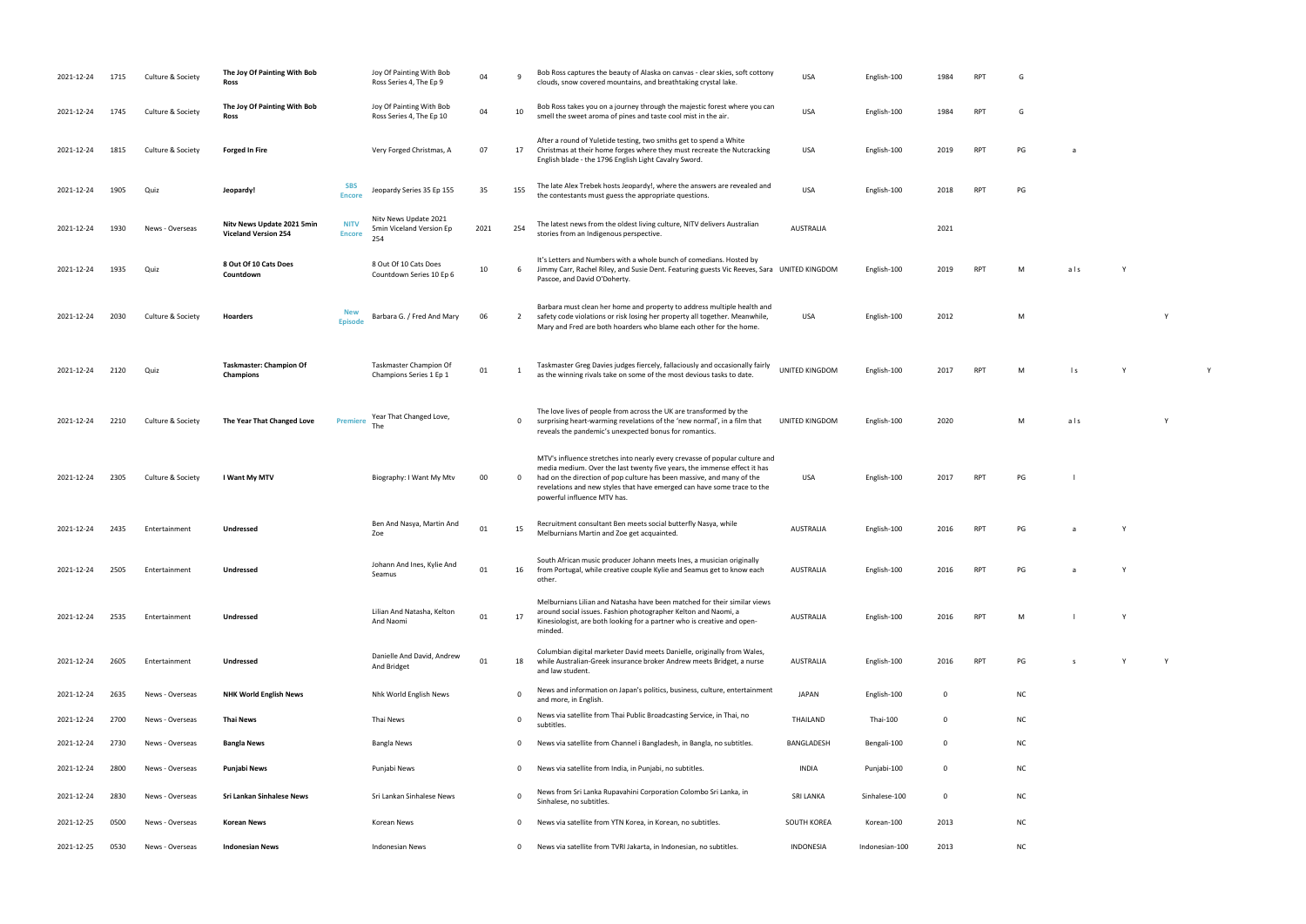| 2021-12-24 | 1715 | Culture & Society | The Joy Of Painting With Bob<br>Ross                                                      | Joy Of Painting With Bob<br>Ross Series 4, The Ep 9      | 04   |                | Bob Ross captures the beauty of Alaska on canvas - clear skies, soft cottony<br>clouds, snow covered mountains, and breathtaking crystal lake.                                                                                                                                                                                             | <b>USA</b>            | English-100    | 1984        | <b>RPT</b> |    |
|------------|------|-------------------|-------------------------------------------------------------------------------------------|----------------------------------------------------------|------|----------------|--------------------------------------------------------------------------------------------------------------------------------------------------------------------------------------------------------------------------------------------------------------------------------------------------------------------------------------------|-----------------------|----------------|-------------|------------|----|
| 2021-12-24 | 1745 | Culture & Society | The Joy Of Painting With Bob<br>Ross                                                      | Joy Of Painting With Bob<br>Ross Series 4, The Ep 10     | 04   | 10             | Bob Ross takes you on a journey through the majestic forest where you can<br>smell the sweet aroma of pines and taste cool mist in the air.                                                                                                                                                                                                | <b>USA</b>            | English-100    | 1984        | <b>RPT</b> | G  |
| 2021-12-24 | 1815 | Culture & Society | <b>Forged In Fire</b>                                                                     | Very Forged Christmas, A                                 | 07   | 17             | After a round of Yuletide testing, two smiths get to spend a White<br>Christmas at their home forges where they must recreate the Nutcracking<br>English blade - the 1796 English Light Cavalry Sword.                                                                                                                                     | <b>USA</b>            | English-100    | 2019        | <b>RPT</b> | PG |
| 2021-12-24 | 1905 | Quiz              | <b>SBS</b><br>Jeopardy!<br><b>Encore</b>                                                  | Jeopardy Series 35 Ep 155                                | 35   | 155            | The late Alex Trebek hosts Jeopardy!, where the answers are revealed and<br>the contestants must guess the appropriate questions.                                                                                                                                                                                                          | <b>USA</b>            | English-100    | 2018        | <b>RPT</b> | PG |
| 2021-12-24 | 1930 | News - Overseas   | Nitv News Update 2021 5min<br><b>NITV</b><br><b>Viceland Version 254</b><br><b>Encore</b> | Nitv News Update 2021<br>5min Viceland Version Ep<br>254 | 2021 | 254            | The latest news from the oldest living culture, NITV delivers Australian<br>stories from an Indigenous perspective.                                                                                                                                                                                                                        | <b>AUSTRALIA</b>      |                | 2021        |            |    |
| 2021-12-24 | 1935 | Quiz              | 8 Out Of 10 Cats Does<br>Countdown                                                        | 8 Out Of 10 Cats Does<br>Countdown Series 10 Ep 6        | 10   | 6              | It's Letters and Numbers with a whole bunch of comedians. Hosted by<br>Jimmy Carr, Rachel Riley, and Susie Dent. Featuring guests Vic Reeves, Sara UNITED KINGDOM<br>Pascoe, and David O'Doherty.                                                                                                                                          |                       | English-100    | 2019        | <b>RPT</b> |    |
| 2021-12-24 | 2030 | Culture & Society | <b>New</b><br>Hoarders<br><b>Episode</b>                                                  | Barbara G. / Fred And Mary                               | 06   | $\overline{2}$ | Barbara must clean her home and property to address multiple health and<br>safety code violations or risk losing her property all together. Meanwhile,<br>Mary and Fred are both hoarders who blame each other for the home.                                                                                                               | <b>USA</b>            | English-100    | 2012        |            |    |
| 2021-12-24 | 2120 | Quiz              | <b>Taskmaster: Champion Of</b><br>Champions                                               | Taskmaster Champion Of<br>Champions Series 1 Ep 1        | 01   |                | Taskmaster Greg Davies judges fiercely, fallaciously and occasionally fairly<br>as the winning rivals take on some of the most devious tasks to date.                                                                                                                                                                                      | <b>UNITED KINGDOM</b> | English-100    | 2017        | <b>RPT</b> | М  |
| 2021-12-24 | 2210 | Culture & Society | The Year That Changed Love<br><b>Premiere</b>                                             | Year That Changed Love,<br>The                           |      | $\mathbf{0}$   | The love lives of people from across the UK are transformed by the<br>surprising heart-warming revelations of the 'new normal', in a film that<br>reveals the pandemic's unexpected bonus for romantics.                                                                                                                                   | UNITED KINGDOM        | English-100    | 2020        |            |    |
| 2021-12-24 | 2305 | Culture & Society | I Want My MTV                                                                             | Biography: I Want My Mtv                                 | 00   | $\Omega$       | MTV's influence stretches into nearly every crevasse of popular culture and<br>media medium. Over the last twenty five years, the immense effect it has<br>had on the direction of pop culture has been massive, and many of the<br>revelations and new styles that have emerged can have some trace to the<br>powerful influence MTV has. | <b>USA</b>            | English-100    | 2017        | <b>RPT</b> | PG |
| 2021-12-24 | 2435 | Entertainment     | Undressed                                                                                 | Ben And Nasya, Martin And<br>Zoe                         | 01   | 15             | Recruitment consultant Ben meets social butterfly Nasya, while<br>Melburnians Martin and Zoe get acquainted.                                                                                                                                                                                                                               | <b>AUSTRALIA</b>      | English-100    | 2016        | <b>RPT</b> | PG |
| 2021-12-24 | 2505 | Entertainment     | Undressed                                                                                 | Johann And Ines, Kylie And<br>Seamus                     | 01   | 16             | South African music producer Johann meets Ines, a musician originally<br>from Portugal, while creative couple Kylie and Seamus get to know each<br>other.                                                                                                                                                                                  | <b>AUSTRALIA</b>      | English-100    | 2016        | RPT        | PG |
| 2021-12-24 | 2535 | Entertainment     | Undressed                                                                                 | Lilian And Natasha, Kelton<br>And Naomi                  | 01   | 17             | Melburnians Lilian and Natasha have been matched for their similar views<br>around social issues. Fashion photographer Kelton and Naomi, a<br>Kinesiologist, are both looking for a partner who is creative and open-<br>minded.                                                                                                           | <b>AUSTRALIA</b>      | English-100    | 2016        | <b>RPT</b> | M  |
| 2021-12-24 | 2605 | Entertainment     | Undressed                                                                                 | Danielle And David, Andrew<br>And Bridget                | 01   | 18             | Columbian digital marketer David meets Danielle, originally from Wales,<br>while Australian-Greek insurance broker Andrew meets Bridget, a nurse<br>and law student.                                                                                                                                                                       | <b>AUSTRALIA</b>      | English-100    | 2016        | <b>RPT</b> | PG |
| 2021-12-24 | 2635 | News - Overseas   | <b>NHK World English News</b>                                                             | Nhk World English News                                   |      | 0              | News and information on Japan's politics, business, culture, entertainment<br>and more, in English.                                                                                                                                                                                                                                        | <b>JAPAN</b>          | English-100    | 0           |            | N0 |
| 2021-12-24 | 2700 | News - Overseas   | <b>Thai News</b>                                                                          | Thai News                                                |      | 0              | News via satellite from Thai Public Broadcasting Service, in Thai, no<br>subtitles.                                                                                                                                                                                                                                                        | THAILAND              | Thai-100       | 0           |            | N0 |
| 2021-12-24 | 2730 | News - Overseas   | <b>Bangla News</b>                                                                        | Bangla News                                              |      | 0              | News via satellite from Channel i Bangladesh, in Bangla, no subtitles.                                                                                                                                                                                                                                                                     | BANGLADESH            | Bengali-100    | $\mathbf 0$ |            | N0 |
| 2021-12-24 | 2800 | News - Overseas   | Punjabi News                                                                              | Punjabi News                                             |      | 0              | News via satellite from India, in Punjabi, no subtitles.                                                                                                                                                                                                                                                                                   | INDIA                 | Punjabi-100    | 0           |            | N0 |
| 2021-12-24 | 2830 | News - Overseas   | Sri Lankan Sinhalese News                                                                 | Sri Lankan Sinhalese News                                |      | 0              | News from Sri Lanka Rupavahini Corporation Colombo Sri Lanka, in<br>Sinhalese, no subtitles.                                                                                                                                                                                                                                               | <b>SRI LANKA</b>      | Sinhalese-100  | $\mathbf 0$ |            | N0 |
| 2021-12-25 | 0500 | News - Overseas   | <b>Korean News</b>                                                                        | Korean News                                              |      | 0              | News via satellite from YTN Korea, in Korean, no subtitles.                                                                                                                                                                                                                                                                                | SOUTH KOREA           | Korean-100     | 2013        |            | N0 |
| 2021-12-25 | 0530 | News - Overseas   | <b>Indonesian News</b>                                                                    | <b>Indonesian News</b>                                   |      | 0              | News via satellite from TVRI Jakarta, in Indonesian, no subtitles.                                                                                                                                                                                                                                                                         | <b>INDONESIA</b>      | Indonesian-100 | 2013        |            | N0 |

- clouds, some covered mountains, and breathtaking covered mountains, and breathtaking cover and breathtaking co<br>See also crystal lake the crystal lake that the same cover and breathtaking cover and the same cover and the s
	-
	- RPT PG a
		-
	- RPT M als Y
		- USA English-100 2012 M Y
			-
	- as the winning rivals take on some of the most devious tasks to date. UNITED KINGDOM English-100 <sup>2017</sup> RPT <sup>M</sup> l s Y <sup>Y</sup>
		- UNITED KINGDOM ENGLISHED KINGDOM ENGLISHED WAS ARRESTED FOR A LOCAL AND MALL AND MALL AND MALL AND MALL AND MA<br>DISTURBANCE COMMUNICATION CONTINUES AND MALL AND MALL AND MALL AND MALL AND MALL AND MALL AND MALL AND MALL AN<br>
	- RPT PG l
	- Mertin Martin and Zoe get accurated. AUSTRALIA English-100 2016 PG accusation and 2016 PG and 2016 RPT PG and 2016 RPT PG a Vietnam and 2016 RPT PG a Vietnam and 2016 RPT PG a Vietnam and 2016 RPT PG a Vietnam and 2016 RPT
	- AUSTRALIA English-100 2016 RPT PG a Y
	- RPT M l Y
	- RPT PG s Y Y
		-
		-
		-
		-
		-
		-
- 
- 
- 
- 
- 
- 
- 
- 
-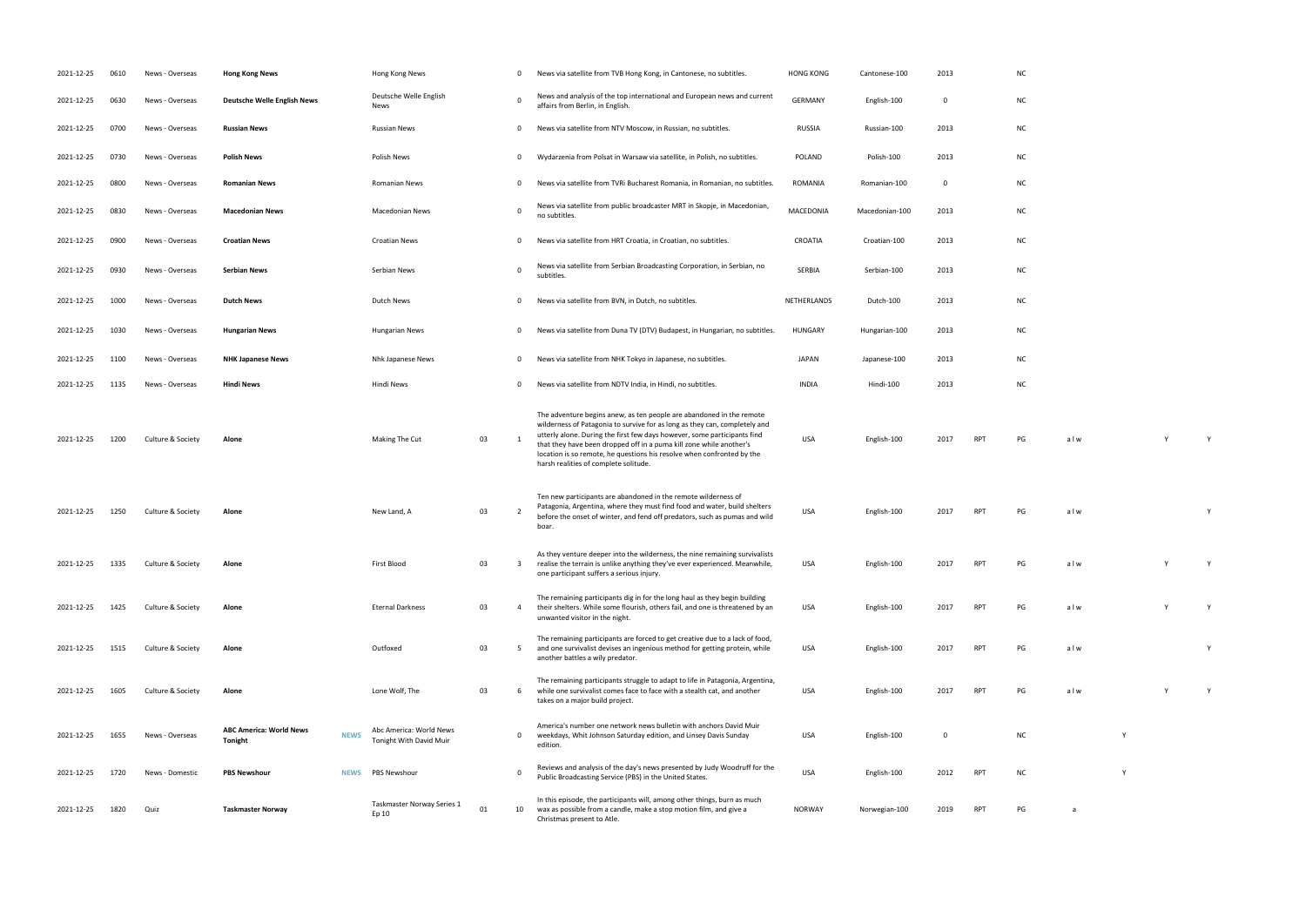| 2021-12-25 | 0610 | News - Overseas   | <b>Hong Kong News</b>                            |             | Hong Kong News                                     |    | 0              | News via satellite from TVB Hong Kong, in Cantonese, no subtitles.                                                                                                                                                                                                                                                                                                                                                       | <b>HONG KONG</b> | Cantonese-100  | 2013        |            | <b>NC</b> |     |  |
|------------|------|-------------------|--------------------------------------------------|-------------|----------------------------------------------------|----|----------------|--------------------------------------------------------------------------------------------------------------------------------------------------------------------------------------------------------------------------------------------------------------------------------------------------------------------------------------------------------------------------------------------------------------------------|------------------|----------------|-------------|------------|-----------|-----|--|
| 2021-12-25 | 0630 | News - Overseas   | <b>Deutsche Welle English News</b>               |             | Deutsche Welle English<br>News                     |    | $\mathbf 0$    | News and analysis of the top international and European news and current<br>affairs from Berlin, in English.                                                                                                                                                                                                                                                                                                             | <b>GERMANY</b>   | English-100    | 0           |            | <b>NC</b> |     |  |
| 2021-12-25 | 0700 | News - Overseas   | <b>Russian News</b>                              |             | Russian News                                       |    | 0              | News via satellite from NTV Moscow, in Russian, no subtitles.                                                                                                                                                                                                                                                                                                                                                            | <b>RUSSIA</b>    | Russian-100    | 2013        |            | <b>NC</b> |     |  |
| 2021-12-25 | 0730 | News - Overseas   | <b>Polish News</b>                               |             | Polish News                                        |    | $\mathbf{0}$   | Wydarzenia from Polsat in Warsaw via satellite, in Polish, no subtitles.                                                                                                                                                                                                                                                                                                                                                 | <b>POLAND</b>    | Polish-100     | 2013        |            | <b>NC</b> |     |  |
| 2021-12-25 | 0800 | News - Overseas   | <b>Romanian News</b>                             |             | Romanian News                                      |    | $\mathbf 0$    | News via satellite from TVRi Bucharest Romania, in Romanian, no subtitles.                                                                                                                                                                                                                                                                                                                                               | <b>ROMANIA</b>   | Romanian-100   | 0           |            | <b>NC</b> |     |  |
| 2021-12-25 | 0830 | News - Overseas   | <b>Macedonian News</b>                           |             | Macedonian News                                    |    | 0              | News via satellite from public broadcaster MRT in Skopje, in Macedonian,<br>no subtitles.                                                                                                                                                                                                                                                                                                                                | MACEDONIA        | Macedonian-100 | 2013        |            | <b>NC</b> |     |  |
| 2021-12-25 | 0900 | News - Overseas   | <b>Croatian News</b>                             |             | <b>Croatian News</b>                               |    | 0              | News via satellite from HRT Croatia, in Croatian, no subtitles.                                                                                                                                                                                                                                                                                                                                                          | CROATIA          | Croatian-100   | 2013        |            | <b>NC</b> |     |  |
| 2021-12-25 | 0930 | News - Overseas   | <b>Serbian News</b>                              |             | Serbian News                                       |    | $\mathbf 0$    | News via satellite from Serbian Broadcasting Corporation, in Serbian, no<br>subtitles.                                                                                                                                                                                                                                                                                                                                   | SERBIA           | Serbian-100    | 2013        |            | <b>NC</b> |     |  |
| 2021-12-25 | 1000 | News - Overseas   | <b>Dutch News</b>                                |             | Dutch News                                         |    | 0              | News via satellite from BVN, in Dutch, no subtitles.                                                                                                                                                                                                                                                                                                                                                                     | NETHERLANDS      | Dutch-100      | 2013        |            | <b>NC</b> |     |  |
| 2021-12-25 | 1030 | News - Overseas   | <b>Hungarian News</b>                            |             | <b>Hungarian News</b>                              |    | 0              | News via satellite from Duna TV (DTV) Budapest, in Hungarian, no subtitles.                                                                                                                                                                                                                                                                                                                                              | HUNGARY          | Hungarian-100  | 2013        |            | <b>NC</b> |     |  |
| 2021-12-25 | 1100 | News - Overseas   | <b>NHK Japanese News</b>                         |             | Nhk Japanese News                                  |    | $\mathbf{0}$   | News via satellite from NHK Tokyo in Japanese, no subtitles.                                                                                                                                                                                                                                                                                                                                                             | JAPAN            | Japanese-100   | 2013        |            | <b>NC</b> |     |  |
| 2021-12-25 | 1135 | News - Overseas   | <b>Hindi News</b>                                |             | Hindi News                                         |    | 0              | News via satellite from NDTV India, in Hindi, no subtitles.                                                                                                                                                                                                                                                                                                                                                              | <b>INDIA</b>     | Hindi-100      | 2013        |            | <b>NC</b> |     |  |
| 2021-12-25 | 1200 | Culture & Society | Alone                                            |             | Making The Cut                                     | 03 | 1              | The adventure begins anew, as ten people are abandoned in the remote<br>wilderness of Patagonia to survive for as long as they can, completely and<br>utterly alone. During the first few days however, some participants find<br>that they have been dropped off in a puma kill zone while another's<br>location is so remote, he questions his resolve when confronted by the<br>harsh realities of complete solitude. | <b>USA</b>       | English-100    | 2017        | <b>RPT</b> | PG        | alw |  |
| 2021-12-25 | 1250 | Culture & Society | Alone                                            |             | New Land, A                                        | 03 | $\overline{2}$ | Ten new participants are abandoned in the remote wilderness of<br>Patagonia, Argentina, where they must find food and water, build shelters<br>before the onset of winter, and fend off predators, such as pumas and wild<br>boar.                                                                                                                                                                                       | USA              | English-100    | 2017        | <b>RPT</b> | PG        | alw |  |
| 2021-12-25 | 1335 | Culture & Society | Alone                                            |             | First Blood                                        | 03 | 3              | As they venture deeper into the wilderness, the nine remaining survivalists<br>realise the terrain is unlike anything they've ever experienced. Meanwhile,<br>one participant suffers a serious injury.                                                                                                                                                                                                                  | USA              | English-100    | 2017        | <b>RPT</b> | PG        | alw |  |
| 2021-12-25 | 1425 | Culture & Society | Alone                                            |             | <b>Eternal Darkness</b>                            | 03 | 4              | The remaining participants dig in for the long haul as they begin building<br>their shelters. While some flourish, others fail, and one is threatened by an<br>unwanted visitor in the night.                                                                                                                                                                                                                            | USA              | English-100    | 2017        | <b>RPT</b> | PG        | alw |  |
| 2021-12-25 | 1515 | Culture & Society | Alone                                            |             | Outfoxed                                           | 03 | 5              | The remaining participants are forced to get creative due to a lack of food,<br>and one survivalist devises an ingenious method for getting protein, while<br>another battles a wily predator.                                                                                                                                                                                                                           | USA              | English-100    | 2017        | <b>RPT</b> | PG        | alw |  |
| 2021-12-25 | 1605 | Culture & Society | Alone                                            |             | Lone Wolf, The                                     | 03 | 6              | The remaining participants struggle to adapt to life in Patagonia, Argentina,<br>while one survivalist comes face to face with a stealth cat, and another<br>takes on a major build project.                                                                                                                                                                                                                             | <b>USA</b>       | English-100    | 2017        | <b>RPT</b> | PG        | alw |  |
| 2021-12-25 | 1655 | News - Overseas   | <b>ABC America: World News</b><br><b>Tonight</b> | <b>NEWS</b> | Abc America: World News<br>Tonight With David Muir |    | 0              | America's number one network news bulletin with anchors David Muir<br>weekdays, Whit Johnson Saturday edition, and Linsey Davis Sunday<br>edition.                                                                                                                                                                                                                                                                       | USA              | English-100    | $\mathbf 0$ |            | <b>NC</b> |     |  |
| 2021-12-25 | 1720 | News - Domestic   | <b>PBS Newshour</b>                              | <b>NEWS</b> | <b>PBS Newshour</b>                                |    | $\mathbf 0$    | Reviews and analysis of the day's news presented by Judy Woodruff for the<br>Public Broadcasting Service (PBS) in the United States.                                                                                                                                                                                                                                                                                     | <b>USA</b>       | English-100    | 2012        | <b>RPT</b> | <b>NC</b> |     |  |
| 2021-12-25 | 1820 | Quiz              | <b>Taskmaster Norway</b>                         |             | Taskmaster Norway Series 1<br>Ep 10                | 01 | 10             | In this episode, the participants will, among other things, burn as much<br>wax as possible from a candle, make a stop motion film, and give a<br>Christmas present to Atle.                                                                                                                                                                                                                                             | NORWAY           | Norwegian-100  | 2019        | <b>RPT</b> | PG        | a   |  |

|            | NC                       |     |   |   |                    |
|------------|--------------------------|-----|---|---|--------------------|
|            | NC                       |     |   |   |                    |
|            | NC                       |     |   |   |                    |
|            | NC                       |     |   |   |                    |
|            | NC                       |     |   |   |                    |
|            | NC                       |     |   |   |                    |
|            | NC                       |     |   |   |                    |
|            | NC                       |     |   |   |                    |
|            | NC                       |     |   |   |                    |
|            | NC                       |     |   |   |                    |
|            | NC                       |     |   |   |                    |
|            | NC                       |     |   |   |                    |
|            |                          |     |   |   |                    |
| <b>RPT</b> | $\mathsf{PG}$            | alw |   | Y | Y                  |
|            |                          |     |   |   |                    |
| RPT        | $\mathsf{PG}$            | alw |   |   | Y                  |
|            |                          |     |   |   |                    |
| RPT        | PG                       | alw |   | Y | Y                  |
|            |                          |     |   |   |                    |
| RPT        | $\mathsf{PG}$            | alw |   | Y | $\pmb{\mathsf{Y}}$ |
| RPT        | $\overline{\mathsf{PG}}$ | alw |   |   | Y                  |
|            |                          |     |   |   |                    |
| RPT        | PG                       | alw |   | Y | $\mathsf{Y}$       |
|            | $\sf NC$                 |     | Υ |   |                    |

Public Broadcasting States. USA English-100 2012 RPT NC Y